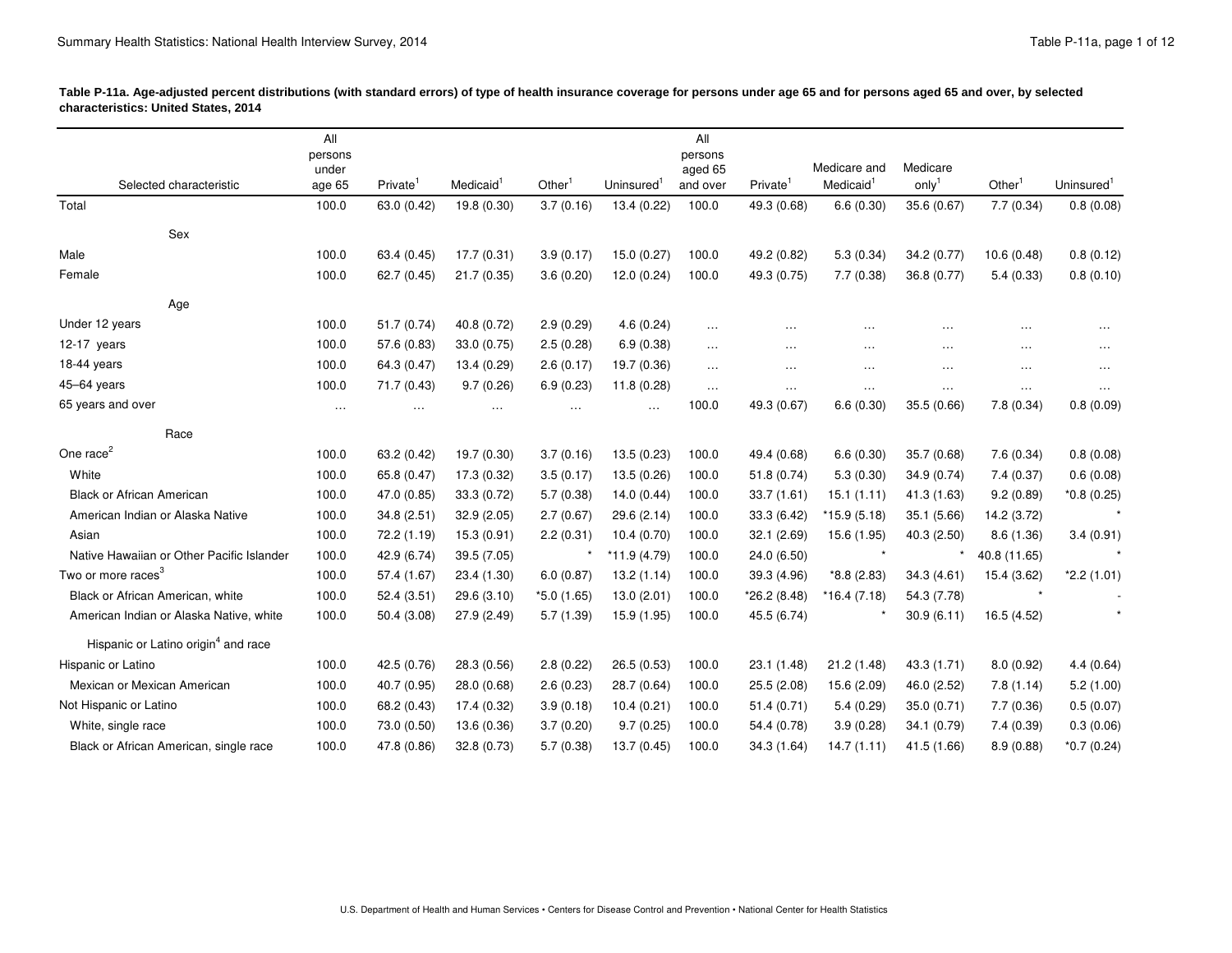| Table P-11a. Age-adjusted percent distributions (with standard errors) of type of health insurance coverage for persons under age 65 and for persons aged 65 and over, by selected<br>characteristics: United States, 2014 |                                                                                                                                                                                                                                             |                                     |                    |                                                                  |                             |                                           |
|----------------------------------------------------------------------------------------------------------------------------------------------------------------------------------------------------------------------------|---------------------------------------------------------------------------------------------------------------------------------------------------------------------------------------------------------------------------------------------|-------------------------------------|--------------------|------------------------------------------------------------------|-----------------------------|-------------------------------------------|
|                                                                                                                                                                                                                            |                                                                                                                                                                                                                                             |                                     |                    |                                                                  |                             |                                           |
|                                                                                                                                                                                                                            | persons<br>under                                                                                                                                                                                                                            |                                     | persons<br>aged 65 | Medicare and Medicare                                            |                             |                                           |
| Selected characteristic                                                                                                                                                                                                    | age 65 Private'<br>Medicaid <b>Medica</b>                                                                                                                                                                                                   | Other' Uninsured' and over Private' |                    | Medicaid <sup>1</sup> only <sup>1</sup>                          |                             | Other <sup>1</sup> Uninsured <sup>1</sup> |
| Total                                                                                                                                                                                                                      | 100.0 63.0 (0.42) 19.8 (0.30) 3.7 (0.16) 13.4 (0.22) 100.0 49.3 (0.68) 6.6 (0.30) 35.6 (0.67) 7.7 (0.34) 0.8 (0.08)                                                                                                                         |                                     |                    |                                                                  |                             |                                           |
| <b>Sex</b>                                                                                                                                                                                                                 |                                                                                                                                                                                                                                             |                                     |                    |                                                                  |                             |                                           |
| Male                                                                                                                                                                                                                       | 100.0 63.4 (0.45) 17.7 (0.31) 3.9 (0.17) 15.0 (0.27) 100.0 49.2 (0.82) 5.3 (0.34) 34.2 (0.77) 10.6 (0.48) 0.8 (0.12)                                                                                                                        |                                     |                    |                                                                  |                             |                                           |
| Female                                                                                                                                                                                                                     | 100.0 62.7 (0.45) 21.7 (0.35) 3.6 (0.20) 12.0 (0.24) 100.0 49.3 (0.75) 7.7 (0.38) 36.8 (0.77) 5.4 (0.33) 0.8 (0.10)                                                                                                                         |                                     |                    |                                                                  |                             |                                           |
|                                                                                                                                                                                                                            |                                                                                                                                                                                                                                             |                                     |                    |                                                                  |                             |                                           |
| Age<br>Under 12 years                                                                                                                                                                                                      | 100.0 51.7 (0.74) 40.8 (0.72) 2.9 (0.29) 4.6 (0.24)                                                                                                                                                                                         |                                     |                    |                                                                  |                             |                                           |
| 12-17 years                                                                                                                                                                                                                | $100.0$ $57.6(0.83)$ $33.0(0.75)$ $2.5(0.28)$ $6.9(0.38)$                                                                                                                                                                                   |                                     |                    |                                                                  |                             |                                           |
| 18-44 years                                                                                                                                                                                                                | 100.0 64.3 (0.47) 13.4 (0.29) 2.6 (0.17) 19.7 (0.36)                                                                                                                                                                                        |                                     |                    | <b>Contract Contract</b>                                         |                             |                                           |
| 45–64 years                                                                                                                                                                                                                | 100.0 71.7 (0.43) 9.7 (0.26) 6.9 (0.23) 11.8 (0.28)                                                                                                                                                                                         |                                     |                    | the contract of the contract of the con-<br>the company of the   |                             | the contract of the con-                  |
| 65 years and over                                                                                                                                                                                                          | contract the contract of                                                                                                                                                                                                                    |                                     |                    | $100.0$ 49.3 (0.67) 6.6 (0.30) 35.5 (0.66) 7.8 (0.34) 0.8 (0.09) |                             |                                           |
|                                                                                                                                                                                                                            |                                                                                                                                                                                                                                             |                                     |                    |                                                                  |                             |                                           |
| Race                                                                                                                                                                                                                       |                                                                                                                                                                                                                                             |                                     |                    |                                                                  |                             |                                           |
| One race <sup>2</sup>                                                                                                                                                                                                      | 100.0 63.2 (0.42) 19.7 (0.30) 3.7 (0.16) 13.5 (0.23) 100.0 49.4 (0.68) 6.6 (0.30) 35.7 (0.68) 7.6 (0.34) 0.8 (0.08)                                                                                                                         |                                     |                    |                                                                  |                             |                                           |
| White                                                                                                                                                                                                                      | 100.0 65.8 (0.47) 17.3 (0.32) 3.5 (0.17) 13.5 (0.26) 100.0 51.8 (0.74) 5.3 (0.30) 34.9 (0.74) 7.4 (0.37) 0.6 (0.08)                                                                                                                         |                                     |                    |                                                                  |                             |                                           |
| Black or African American                                                                                                                                                                                                  | 100.0 47.0 (0.85) 33.3 (0.72) 5.7 (0.38) 14.0 (0.44) 100.0 33.7 (1.61) 15.1 (1.11) 41.3 (1.63) 9.2 (0.89) *0.8 (0.25)                                                                                                                       |                                     |                    |                                                                  |                             |                                           |
| American Indian or Alaska Native                                                                                                                                                                                           | 100.0 34.8 (2.51) 32.9 (2.05) 2.7 (0.67) 29.6 (2.14) 100.0 33.3 (6.42) *15.9 (5.18) 35.1 (5.66) 14.2 (3.72)<br>100.0 72.2 (1.19) 15.3 (0.91) 2.2 (0.31) 10.4 (0.70) 100.0 32.1 (2.69) 15.6 (1.95) 40.3 (2.50) 8.6 (1.36) 3.4 (0.91)         |                                     |                    |                                                                  |                             |                                           |
| Asian<br>Native Hawaiian or Other Pacific Islander                                                                                                                                                                         | 100.0 42.9 (6.74) 39.5 (7.05)                                                                                                                                                                                                               | * $*11.9(4.79)$ 100.0 24.0 (6.50)   |                    |                                                                  | $*$ $*$ 40.8 (11.65)        |                                           |
| Two or more races <sup>3</sup>                                                                                                                                                                                             | 100.0 57.4 (1.67) 23.4 (1.30) 6.0 (0.87) 13.2 (1.14) 100.0 39.3 (4.96) *8.8 (2.83) 34.3 (4.61) 15.4 (3.62) *2.2 (1.01)                                                                                                                      |                                     |                    |                                                                  |                             |                                           |
| Black or African American, white                                                                                                                                                                                           | 100.0 52.4 (3.51) 29.6 (3.10) *5.0 (1.65) 13.0 (2.01) 100.0 *26.2 (8.48) *16.4 (7.18) 54.3 (7.78)                                                                                                                                           |                                     |                    |                                                                  |                             |                                           |
| American Indian or Alaska Native, white                                                                                                                                                                                    | 100.0 50.4 (3.08) 27.9 (2.49) 5.7 (1.39) 15.9 (1.95) 100.0 45.5 (6.74)                                                                                                                                                                      |                                     |                    |                                                                  | $*$ 30.9 (6.11) 16.5 (4.52) |                                           |
|                                                                                                                                                                                                                            |                                                                                                                                                                                                                                             |                                     |                    |                                                                  |                             |                                           |
| Hispanic or Latino origin <sup>4</sup> and race                                                                                                                                                                            |                                                                                                                                                                                                                                             |                                     |                    |                                                                  |                             |                                           |
| Hispanic or Latino                                                                                                                                                                                                         | 100.0 42.5 (0.76) 28.3 (0.56) 2.8 (0.22) 26.5 (0.53) 100.0 23.1 (1.48) 21.2 (1.48) 43.3 (1.71) 8.0 (0.92) 4.4 (0.64)                                                                                                                        |                                     |                    |                                                                  |                             |                                           |
| Mexican or Mexican American                                                                                                                                                                                                | 100.0 40.7 (0.95) 28.0 (0.68) 2.6 (0.23) 28.7 (0.64) 100.0 25.5 (2.08) 15.6 (2.09) 46.0 (2.52) 7.8 (1.14) 5.2 (1.00)                                                                                                                        |                                     |                    |                                                                  |                             |                                           |
| Not Hispanic or Latino                                                                                                                                                                                                     | 100.0 68.2 (0.43) 17.4 (0.32) 3.9 (0.18) 10.4 (0.21) 100.0 51.4 (0.71) 5.4 (0.29) 35.0 (0.71) 7.7 (0.36) 0.5 (0.07)                                                                                                                         |                                     |                    |                                                                  |                             |                                           |
| White, single race                                                                                                                                                                                                         | 100.0 73.0 (0.50) 13.6 (0.36) 3.7 (0.20) 9.7 (0.25) 100.0 54.4 (0.78) 3.9 (0.28) 34.1 (0.79) 7.4 (0.39) 0.3 (0.06)<br>100.0 47.8 (0.86) 32.8 (0.73) 5.7 (0.38) 13.7 (0.45) 100.0 34.3 (1.64) 14.7 (1.11) 41.5 (1.66) 8.9 (0.88) *0.7 (0.24) |                                     |                    |                                                                  |                             |                                           |
| Black or African American, single race                                                                                                                                                                                     |                                                                                                                                                                                                                                             |                                     |                    |                                                                  |                             |                                           |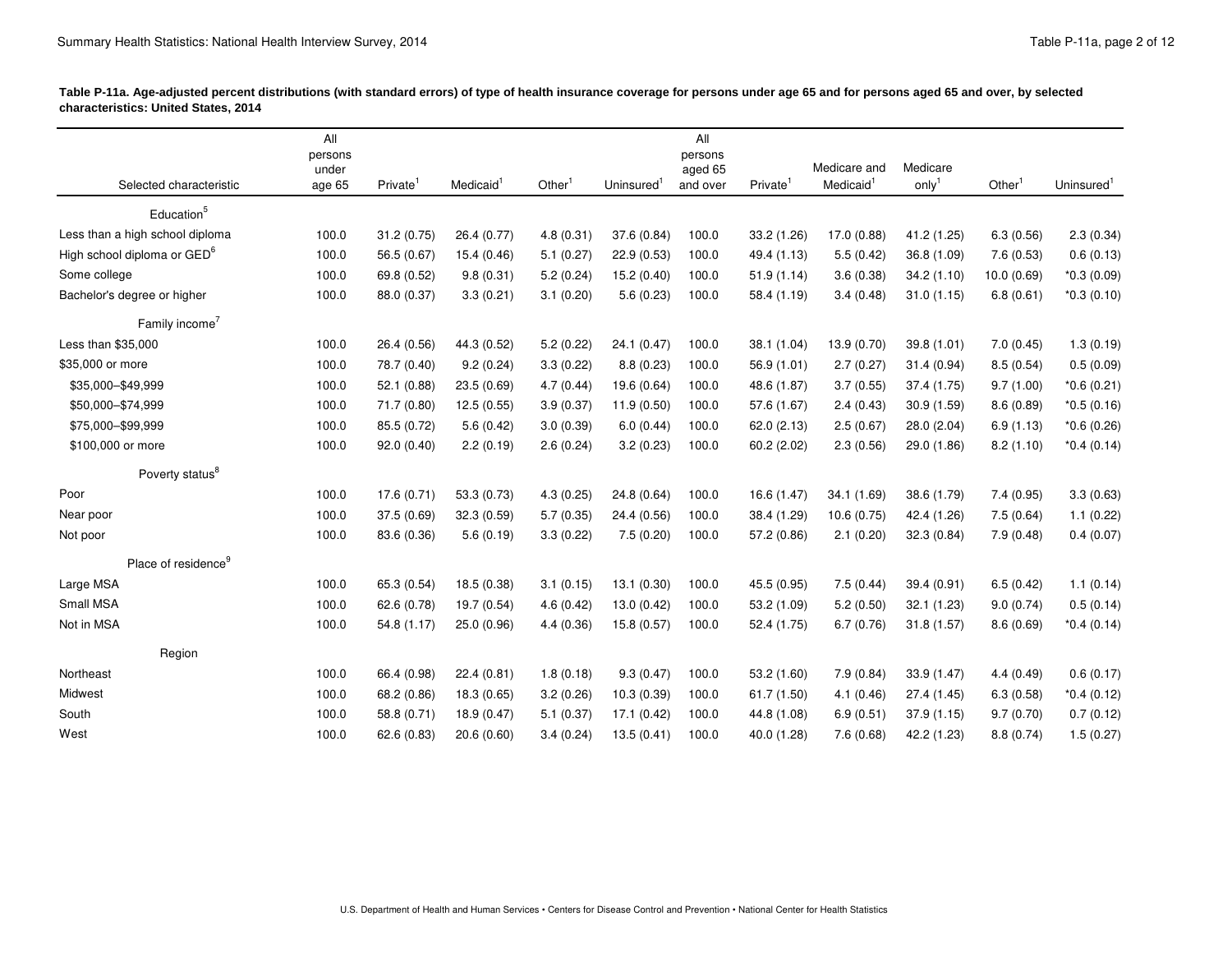| characteristics: United States, 2014                                                       |                 |                    | Table P-11a. Age-adjusted percent distributions (with standard errors) of type of health insurance coverage for persons under age 65 and for persons aged 65 and over, by selected                          |  |
|--------------------------------------------------------------------------------------------|-----------------|--------------------|-------------------------------------------------------------------------------------------------------------------------------------------------------------------------------------------------------------|--|
|                                                                                            |                 | All                |                                                                                                                                                                                                             |  |
|                                                                                            | persons<br>unde | persons<br>aged 65 | Medicare and Medicare                                                                                                                                                                                       |  |
| Selected characteristic<br>the contract of the contract of the contract of the contract of |                 |                    | age 65 Private <sup>1</sup> Medicaid <sup>1</sup> Other <sup>1</sup> Uninsured <sup>1</sup> and over Private <sup>1</sup> Medicaid <sup>1</sup> only <sup>1</sup> Other <sup>1</sup> Uninsured <sup>1</sup> |  |
| Education <sup>5</sup>                                                                     |                 |                    |                                                                                                                                                                                                             |  |
| Less than a high school diploma                                                            |                 |                    | 100.0 31.2 (0.75) 26.4 (0.77) 4.8 (0.31) 37.6 (0.84) 100.0 33.2 (1.26) 17.0 (0.88) 41.2 (1.25) 6.3 (0.56) 2.3 (0.34)                                                                                        |  |
| High school diploma or GED <sup>o</sup>                                                    |                 |                    | 100.0 56.5 (0.67) 15.4 (0.46) 5.1 (0.27) 22.9 (0.53) 100.0 49.4 (1.13) 5.5 (0.42) 36.8 (1.09) 7.6 (0.53) 0.6 (0.13)                                                                                         |  |
| Some college                                                                               |                 |                    | 100.0 69.8 (0.52) 9.8 (0.31) 5.2 (0.24) 15.2 (0.40) 100.0 51.9 (1.14) 3.6 (0.38) 34.2 (1.10) 10.0 (0.69) *0.3 (0.09)                                                                                        |  |
| Bachelor's degree or higher                                                                |                 |                    | $100.0$ $88.0(0.37)$ $3.3(0.21)$ $3.1(0.20)$ $5.6(0.23)$ $100.0$ $58.4(1.19)$ $3.4(0.48)$ $31.0(1.15)$ $6.8(0.61)$ $*0.3(0.10)$                                                                             |  |
| Family income <sup>7</sup>                                                                 |                 |                    |                                                                                                                                                                                                             |  |
| Less than \$35,000                                                                         |                 |                    | 100.0 26.4 (0.56) 44.3 (0.52) 5.2 (0.22) 24.1 (0.47) 100.0 38.1 (1.04) 13.9 (0.70) 39.8 (1.01) 7.0 (0.45) 1.3 (0.19)                                                                                        |  |
| \$35,000 or more                                                                           |                 |                    | 100.0 78.7 (0.40) 9.2 (0.24) 3.3 (0.22) 8.8 (0.23) 100.0 56.9 (1.01) 2.7 (0.27) 31.4 (0.94) 8.5 (0.54) 0.5 (0.09)                                                                                           |  |
| \$35,000-\$49,999                                                                          |                 |                    | 100.0 52.1 (0.88) 23.5 (0.69) 4.7 (0.44) 19.6 (0.64) 100.0 48.6 (1.87) 3.7 (0.55) 37.4 (1.75) 9.7 (1.00) *0.6 (0.21)                                                                                        |  |
| \$50,000-\$74,999                                                                          |                 |                    | 100.0 71.7 (0.80) 12.5 (0.55) 3.9 (0.37) 11.9 (0.50) 100.0 57.6 (1.67) 2.4 (0.43) 30.9 (1.59) 8.6 (0.89) *0.5 (0.16)                                                                                        |  |
| \$75,000-\$99,999                                                                          |                 |                    | 100.0 85.5 (0.72) 5.6 (0.42) 3.0 (0.39) 6.0 (0.44) 100.0 62.0 (2.13) 2.5 (0.67) 28.0 (2.04) 6.9 (1.13) *0.6 (0.26)                                                                                          |  |
| \$100,000 or more                                                                          |                 |                    | 100.0 92.0 (0.40) 2.2 (0.19) 2.6 (0.24) 3.2 (0.23) 100.0 60.2 (2.02) 2.3 (0.56) 29.0 (1.86) 8.2 (1.10) *0.4 (0.14)                                                                                          |  |
| Poverty status <sup>8</sup>                                                                |                 |                    |                                                                                                                                                                                                             |  |
| Poor                                                                                       |                 |                    | 100.0 17.6 (0.71) 53.3 (0.73) 4.3 (0.25) 24.8 (0.64) 100.0 16.6 (1.47) 34.1 (1.69) 38.6 (1.79) 7.4 (0.95) 3.3 (0.63)                                                                                        |  |
| Near poor                                                                                  |                 |                    | 100.0 37.5 (0.69) 32.3 (0.59) 5.7 (0.35) 24.4 (0.56) 100.0 38.4 (1.29) 10.6 (0.75) 42.4 (1.26) 7.5 (0.64) 1.1 (0.22)                                                                                        |  |
| Not poor                                                                                   |                 |                    | 100.0 83.6 (0.36) 5.6 (0.19) 3.3 (0.22) 7.5 (0.20) 100.0 57.2 (0.86) 2.1 (0.20) 32.3 (0.84) 7.9 (0.48) 0.4 (0.07)                                                                                           |  |
|                                                                                            |                 |                    |                                                                                                                                                                                                             |  |
| Place of residence <sup>9</sup>                                                            |                 |                    |                                                                                                                                                                                                             |  |
| Large MSA                                                                                  |                 |                    | 100.0 65.3 (0.54) 18.5 (0.38) 3.1 (0.15) 13.1 (0.30) 100.0 45.5 (0.95) 7.5 (0.44) 39.4 (0.91) 6.5 (0.42) 1.1 (0.14)                                                                                         |  |
| Small MSA                                                                                  |                 |                    | 100.0 62.6 (0.78) 19.7 (0.54) 4.6 (0.42) 13.0 (0.42) 100.0 53.2 (1.09) 5.2 (0.50) 32.1 (1.23) 9.0 (0.74) 0.5 (0.14)                                                                                         |  |
| Not in MSA                                                                                 |                 |                    | 100.0 54.8 (1.17) 25.0 (0.96) 4.4 (0.36) 15.8 (0.57) 100.0 52.4 (1.75) 6.7 (0.76) 31.8 (1.57) 8.6 (0.69) *0.4 (0.14)                                                                                        |  |
| Region                                                                                     |                 |                    |                                                                                                                                                                                                             |  |
| Northeast                                                                                  |                 |                    | 100.0 66.4 (0.98) 22.4 (0.81) 1.8 (0.18) 9.3 (0.47) 100.0 53.2 (1.60) 7.9 (0.84) 33.9 (1.47) 4.4 (0.49) 0.6 (0.17)                                                                                          |  |
| Midwest                                                                                    |                 |                    | 100.0 68.2 (0.86) 18.3 (0.65) 3.2 (0.26) 10.3 (0.39) 100.0 61.7 (1.50) 4.1 (0.46) 27.4 (1.45) 6.3 (0.58) *0.4 (0.12)                                                                                        |  |
| South                                                                                      |                 |                    | 100.0 58.8 (0.71) 18.9 (0.47) 5.1 (0.37) 17.1 (0.42) 100.0 44.8 (1.08) 6.9 (0.51) 37.9 (1.15) 9.7 (0.70) 0.7 (0.12)                                                                                         |  |
| West                                                                                       |                 |                    | 100.0 62.6 (0.83) 20.6 (0.60) 3.4 (0.24) 13.5 (0.41) 100.0 40.0 (1.28) 7.6 (0.68) 42.2 (1.23) 8.8 (0.74) 1.5 (0.27)                                                                                         |  |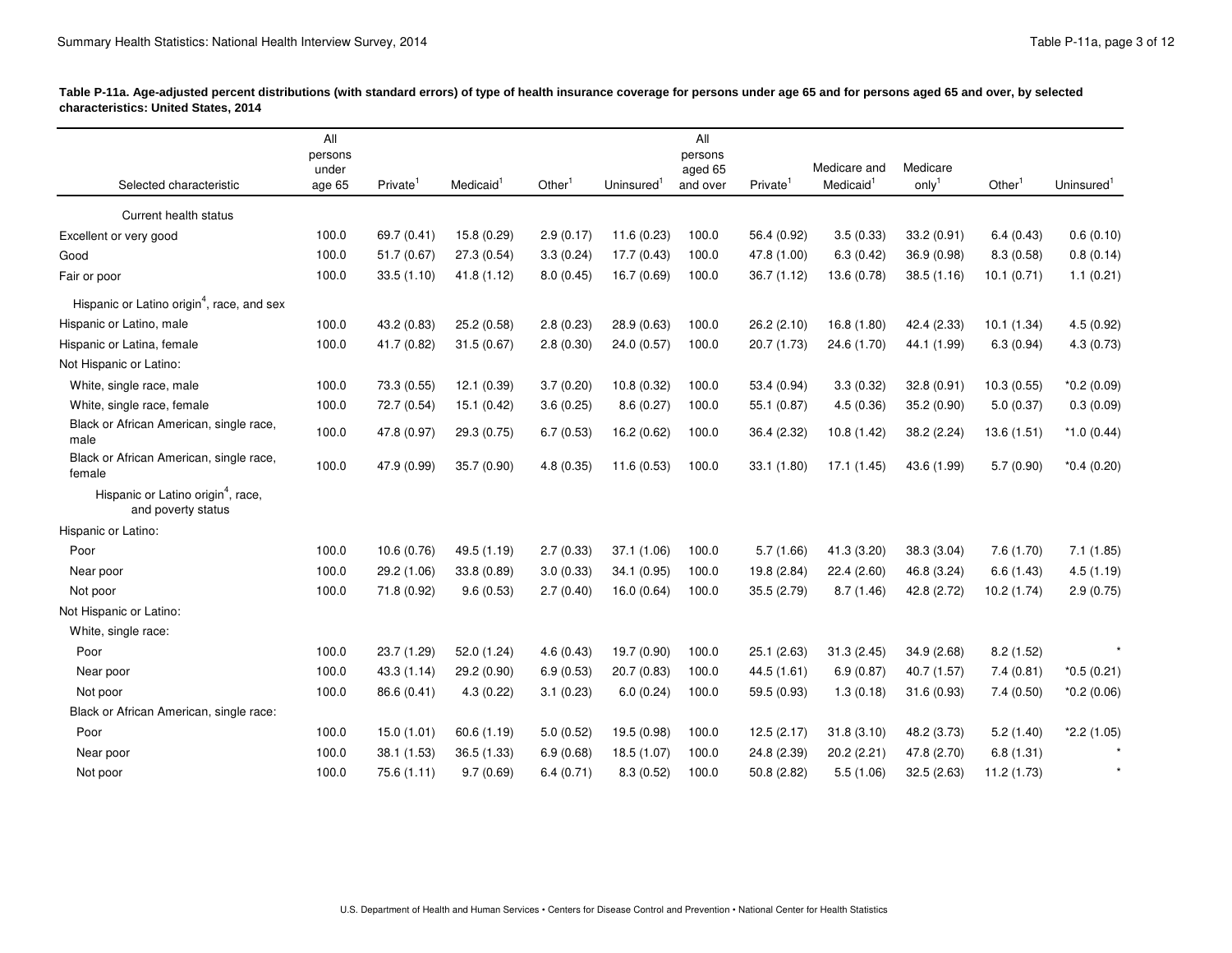| Table P-11a. Age-adjusted percent distributions (with standard errors) of type of health insurance coverage for persons under age 65 and for persons aged 65 and over, by selected |  |
|------------------------------------------------------------------------------------------------------------------------------------------------------------------------------------|--|
| characteristics: United States, 2014                                                                                                                                               |  |

| characteristics: United States, 2014                     | Table P-11a. Age-adjusted percent distributions (with standard errors) of type of health insurance coverage for persons under age 65 and for persons aged 65 and over, by selected |                                                                         |                                                                                   |  |
|----------------------------------------------------------|------------------------------------------------------------------------------------------------------------------------------------------------------------------------------------|-------------------------------------------------------------------------|-----------------------------------------------------------------------------------|--|
|                                                          | All                                                                                                                                                                                | All                                                                     |                                                                                   |  |
|                                                          | persons<br>under                                                                                                                                                                   | persons<br>aged 65                                                      | Medicare and Medicare                                                             |  |
| Selected characteristic                                  | age 65 Private <sup>1</sup><br>Medicaid '                                                                                                                                          | Other <sup>1</sup> Uninsured <sup>1</sup> and over Private <sup>1</sup> | Medicaid <sup>1</sup> only <sup>1</sup> Other <sup>1</sup> Uninsured <sup>1</sup> |  |
| Current health status                                    |                                                                                                                                                                                    |                                                                         |                                                                                   |  |
| Excellent or very good                                   | 100.0 69.7 (0.41) 15.8 (0.29) 2.9 (0.17) 11.6 (0.23) 100.0 56.4 (0.92) 3.5 (0.33) 33.2 (0.91) 6.4 (0.43) 0.6 (0.10)                                                                |                                                                         |                                                                                   |  |
| Good                                                     | 100.0 51.7 (0.67) 27.3 (0.54) 3.3 (0.24) 17.7 (0.43) 100.0 47.8 (1.00) 6.3 (0.42) 36.9 (0.98) 8.3 (0.58) 0.8 (0.14)                                                                |                                                                         |                                                                                   |  |
| Fair or poor                                             | 100.0 33.5 (1.10) 41.8 (1.12) 8.0 (0.45) 16.7 (0.69) 100.0 36.7 (1.12) 13.6 (0.78) 38.5 (1.16) 10.1 (0.71) 1.1 (0.21)                                                              |                                                                         |                                                                                   |  |
| Hispanic or Latino origin <sup>4</sup> , race, and sex   |                                                                                                                                                                                    |                                                                         |                                                                                   |  |
| Hispanic or Latino, male                                 | 100.0 43.2 (0.83) 25.2 (0.58) 2.8 (0.23) 28.9 (0.63) 100.0 26.2 (2.10) 16.8 (1.80) 42.4 (2.33) 10.1 (1.34) 4.5 (0.92)                                                              |                                                                         |                                                                                   |  |
| Hispanic or Latina, female                               | 100.0 41.7 (0.82) 31.5 (0.67) 2.8 (0.30) 24.0 (0.57) 100.0 20.7 (1.73) 24.6 (1.70) 44.1 (1.99) 6.3 (0.94) 4.3 (0.73)                                                               |                                                                         |                                                                                   |  |
| Not Hispanic or Latino:                                  |                                                                                                                                                                                    |                                                                         |                                                                                   |  |
| White, single race, male                                 | 100.0 73.3 (0.55) 12.1 (0.39) 3.7 (0.20) 10.8 (0.32) 100.0 53.4 (0.94) 3.3 (0.32) 32.8 (0.91) 10.3 (0.55) *0.2 (0.09)                                                              |                                                                         |                                                                                   |  |
| White, single race, female                               | 100.0 72.7 (0.54) 15.1 (0.42) 3.6 (0.25) 8.6 (0.27) 100.0 55.1 (0.87) 4.5 (0.36) 35.2 (0.90) 5.0 (0.37) 0.3 (0.09)                                                                 |                                                                         |                                                                                   |  |
| Black or African American, single race,<br>male          | 100.0 47.8 (0.97) 29.3 (0.75) 6.7 (0.53) 16.2 (0.62) 100.0 36.4 (2.32) 10.8 (1.42) 38.2 (2.24) 13.6 (1.51) *1.0 (0.44)                                                             |                                                                         |                                                                                   |  |
| Black or African American, single race,                  | 100.0 47.9 (0.99) 35.7 (0.90) 4.8 (0.35) 11.6 (0.53) 100.0 33.1 (1.80) 17.1 (1.45) 43.6 (1.99) 5.7 (0.90) *0.4 (0.20)                                                              |                                                                         |                                                                                   |  |
| female<br>Hispanic or Latino origin <sup>4</sup> , race, |                                                                                                                                                                                    |                                                                         |                                                                                   |  |
| and poverty status                                       |                                                                                                                                                                                    |                                                                         |                                                                                   |  |
| Hispanic or Latino:                                      |                                                                                                                                                                                    |                                                                         |                                                                                   |  |
| Poor                                                     | 100.0  10.6 (0.76)  49.5 (1.19)  2.7 (0.33)  37.1 (1.06)  100.0                                                                                                                    |                                                                         | $5.7(1.66)$ $41.3(3.20)$ $38.3(3.04)$ $7.6(1.70)$ $7.1(1.85)$                     |  |
| Near poor                                                | 100.0 29.2 (1.06) 33.8 (0.89) 3.0 (0.33) 34.1 (0.95) 100.0 19.8 (2.84) 22.4 (2.60) 46.8 (3.24) 6.6 (1.43) 4.5 (1.19)                                                               |                                                                         |                                                                                   |  |
| Not poor                                                 | 100.0 71.8 (0.92) 9.6 (0.53) 2.7 (0.40) 16.0 (0.64) 100.0 35.5 (2.79) 8.7 (1.46) 42.8 (2.72) 10.2 (1.74) 2.9 (0.75)                                                                |                                                                         |                                                                                   |  |
| Not Hispanic or Latino:                                  |                                                                                                                                                                                    |                                                                         |                                                                                   |  |
| White, single race:                                      |                                                                                                                                                                                    |                                                                         |                                                                                   |  |
| Poor                                                     | 100.0 23.7 (1.29) 52.0 (1.24) 4.6 (0.43) 19.7 (0.90) 100.0 25.1 (2.63) 31.3 (2.45) 34.9 (2.68) 8.2 (1.52)                                                                          |                                                                         |                                                                                   |  |
| Near poor                                                | 100.0 43.3 (1.14) 29.2 (0.90) 6.9 (0.53) 20.7 (0.83) 100.0 44.5 (1.61) 6.9 (0.87) 40.7 (1.57) 7.4 (0.81) *0.5 (0.21)                                                               |                                                                         |                                                                                   |  |
| Not poor<br>Black or African American, single race:      | 100.0 86.6 (0.41) 4.3 (0.22) 3.1 (0.23) 6.0 (0.24) 100.0 59.5 (0.93) 1.3 (0.18) 31.6 (0.93) 7.4 (0.50) *0.2 (0.06)                                                                 |                                                                         |                                                                                   |  |
| Poor                                                     | 100.0 15.0 (1.01) 60.6 (1.19) 5.0 (0.52) 19.5 (0.98) 100.0 12.5 (2.17) 31.8 (3.10) 48.2 (3.73) 5.2 (1.40) *2.2 (1.05)                                                              |                                                                         |                                                                                   |  |
| Near poor                                                | 100.0 38.1 (1.53) 36.5 (1.33) 6.9 (0.68) 18.5 (1.07) 100.0 24.8 (2.39) 20.2 (2.21) 47.8 (2.70) 6.8 (1.31)                                                                          |                                                                         |                                                                                   |  |
| Not poor                                                 | 100.0 75.6 (1.11) 9.7 (0.69) 6.4 (0.71) 8.3 (0.52) 100.0 50.8 (2.82) 5.5 (1.06) 32.5 (2.63) 11.2 (1.73)                                                                            |                                                                         |                                                                                   |  |
|                                                          |                                                                                                                                                                                    |                                                                         |                                                                                   |  |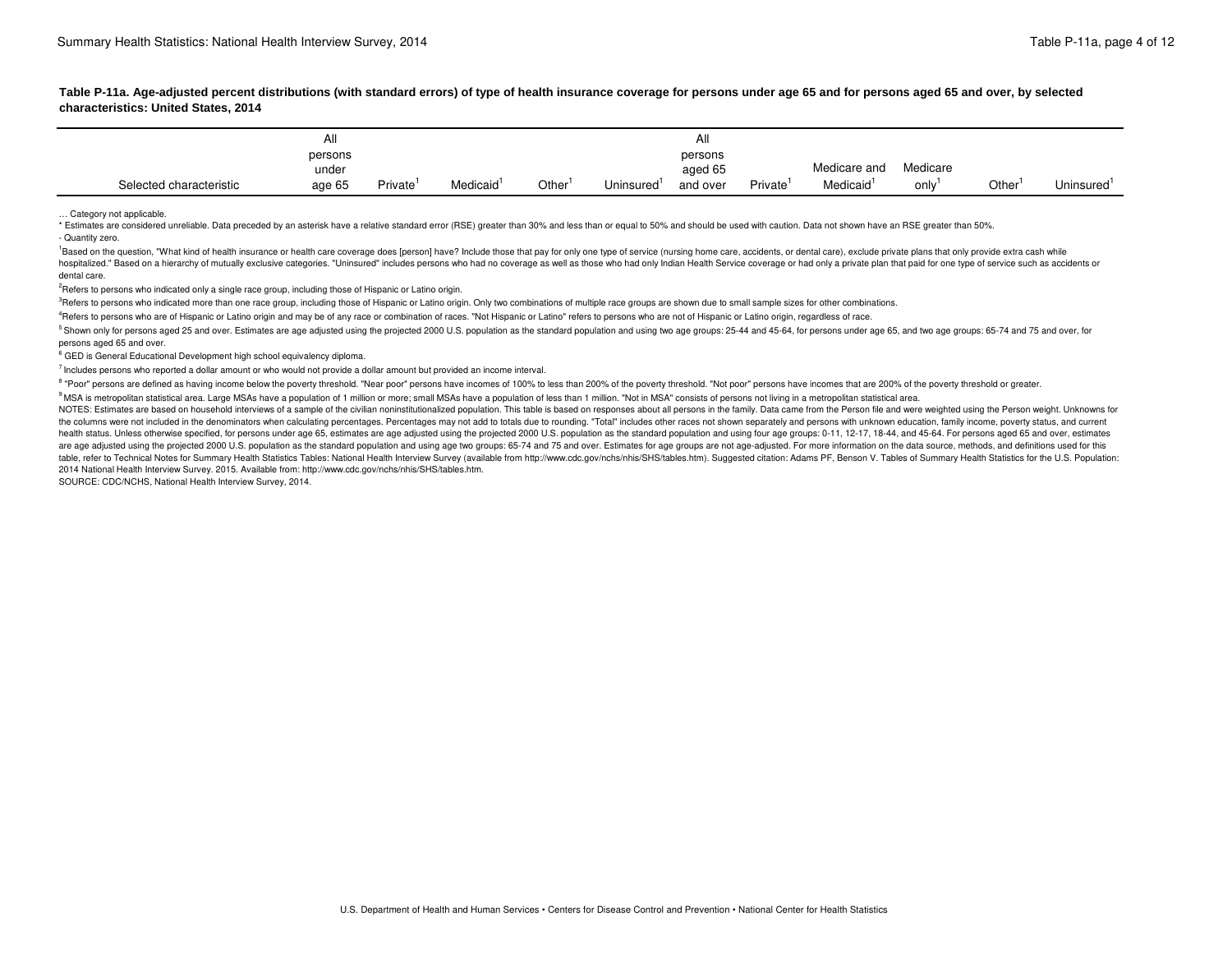| characteristics: United States, 2014 | Table P-11a. Age-adjusted percent distributions (with standard errors) of type of health insurance coverage for persons under age 65 and for persons aged 65 and over, by selected                   |
|--------------------------------------|------------------------------------------------------------------------------------------------------------------------------------------------------------------------------------------------------|
|                                      |                                                                                                                                                                                                      |
|                                      |                                                                                                                                                                                                      |
|                                      | Medicare and Medicare                                                                                                                                                                                |
| Selected characteristic              | Private <sup>1</sup> Medicaid <sup>1</sup> Other <sup>1</sup> Uninsured <sup>1</sup> and over Private <sup>1</sup> Medicaid <sup>1</sup> only <sup>1</sup> Other <sup>1</sup> Uninsured <sup>1</sup> |

… Category not applicable.

\* Estimates are considered unreliable. Data preceded by an asterisk have a relative standard error (RSE) greater than 30% and less than or equal to 50% and should be used with caution. Data not shown have an RSE greater th - Quantity zero.

 dental care. <sup>1</sup>Based on the question. "What kind of health insurance or health care coverage does [person] have? Include those that pay for only one type of service (nursing home care, accidents, or dental care), exclude private plans hospitalized." Based on a hierarchy of mutually exclusive categories. "Uninsured" includes persons who had no coverage as well as those who had only Indian Health Service coverage or had only a private plan that paid for o

<sup>2</sup>Refers to persons who indicated only a single race group, including those of Hispanic or Latino origin.

<sup>3</sup>Refers to persons who indicated more than one race group, including those of Hispanic or Latino origin. Only two combinations of multiple race groups are shown due to small sample sizes for other combinations.

<sup>4</sup>Refers to persons who are of Hispanic or Latino origin and may be of any race or combination of races. "Not Hispanic or Latino" refers to persons who are not of Hispanic or Latino origin, regardless of race.

 persons aged 65 and over. <sup>5</sup> Shown only for persons aged 25 and over. Estimates are age adjusted using the projected 2000 U.S. population as the standard population and using two age groups; 25-44 and 45-64, for persons under age 65, and two age g

<sup>6</sup> GED is General Educational Development high school equivalency diploma.

 $<sup>7</sup>$  Includes persons who reported a dollar amount or who would not provide a dollar amount but provided an income interval.</sup>

<sup>8</sup> "Poor" persons are defined as having income below the poverty threshold. "Near poor" persons have incomes of 100% to less than 200% of the poverty threshold. "Not poor" persons have incomes that are 200% of the poverty

<sup>9</sup> MSA is metropolitan statistical area. Large MSAs have a population of 1 million or more; small MSAs have a population of less than 1 million. "Not in MSA" consists of persons not living in a metropolitan statistical ar

NOTES: Estimates are based on household interviews of a sample of the civilian noninstitutionalized population. This table is based on responses about all persons in the family. Data came from the Person file and were weig the columns were not included in the denominators when calculating percentages. Percentages may not add to totals due to rounding. "Total" includes other races not shown separately and persons with unknown education, famil health status. Unless otherwise specified, for persons under age 65, estimates are age adjusted using the projected 2000 U.S. population as the standard population and using four age groups: 0-11, 12-17, 18-44, and 45-64. are age adjusted using the projected 2000 U.S. population as the standard population and using age two groups: 65-74 and 75 and over. Estimates for age groups are not age-adjusted. For more information on the data source, table, refer to Technical Notes for Summary Health Statistics Tables: National Health Interview Survey (available from [http://www.cdc.gov/nchs/nhis/SHS/tables.htm\)](http://www.cdc.gov/nchs/nhis/SHS/tables.htm). Suggested citation: Adams PF, Benson V. Tables of Summary 2014 National Health Interview Survey. 2015. Available from:<http://www.cdc.gov/nchs/nhis/SHS/tables.htm>.

SOURCE: CDC/NCHS, National Health Interview Survey, 2014.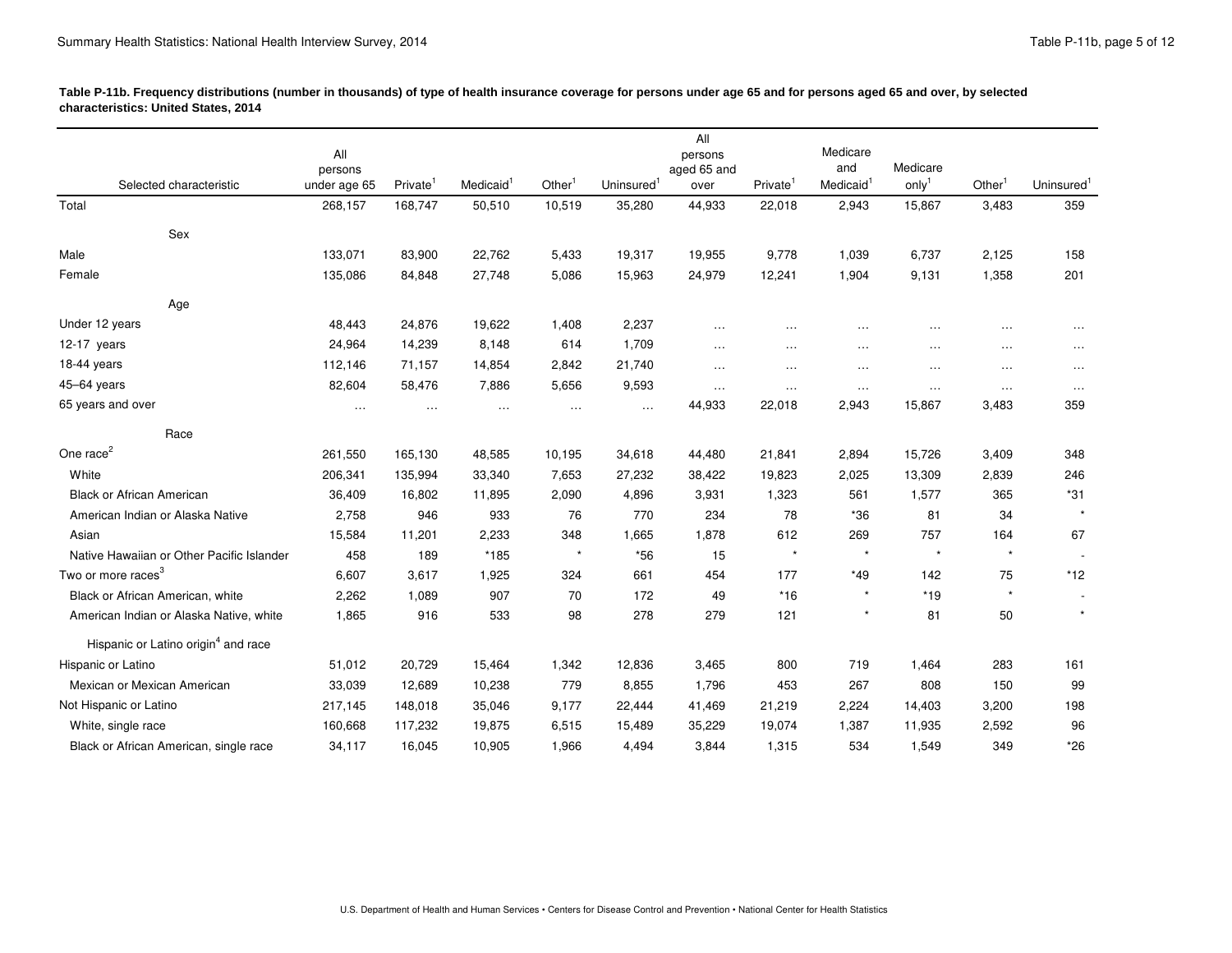| rable r•i ib. Flequency distributions (humber in thousands) or type or neath msurance coverage for persons under age to and for persons aged to and over, by selected<br>characteristics: United States, 2014 |                                                          |               |                                                |                                                                        |                             |                             |                               |                     |                                                                                     |                                                          |
|---------------------------------------------------------------------------------------------------------------------------------------------------------------------------------------------------------------|----------------------------------------------------------|---------------|------------------------------------------------|------------------------------------------------------------------------|-----------------------------|-----------------------------|-------------------------------|---------------------|-------------------------------------------------------------------------------------|----------------------------------------------------------|
|                                                                                                                                                                                                               |                                                          |               |                                                |                                                                        |                             |                             |                               |                     |                                                                                     |                                                          |
|                                                                                                                                                                                                               | persons                                                  |               |                                                |                                                                        | persons<br>aged 65 and      |                             | Medicare<br>and               | Medicare            |                                                                                     |                                                          |
| Selected characteristic                                                                                                                                                                                       | under age 65 Private Medicaid bunder                     |               | Other'                                         | Uninsured <sup>1</sup> over Private <sup>1</sup> Medicaid <sup>1</sup> |                             |                             |                               | $\mathsf{only}^1$   | Other <sup>1</sup> Uninsured <sup>1</sup>                                           |                                                          |
| Total                                                                                                                                                                                                         | 268,157  168,747  50,510  10,519  35,280  44,933  22,018 |               |                                                |                                                                        |                             |                             | 2,943 15,867                  |                     | 3,483 359                                                                           |                                                          |
| Sex                                                                                                                                                                                                           |                                                          |               |                                                |                                                                        |                             |                             |                               |                     |                                                                                     |                                                          |
| Male                                                                                                                                                                                                          | 133,071 83,900                                           | 22,762        | 5,433                                          | 19,317                                                                 | 19,955                      | 9,778                       | 1,039                         | 6,737               | 2,125 158                                                                           |                                                          |
| Female                                                                                                                                                                                                        | 135,086 84,848 27,748 5,086 15,963 24,979 12,241         |               |                                                |                                                                        |                             |                             | 1,904                         | 9,131               | 1,358                                                                               | 201                                                      |
| Age                                                                                                                                                                                                           |                                                          |               |                                                |                                                                        |                             |                             |                               |                     |                                                                                     |                                                          |
| Under 12 years                                                                                                                                                                                                | 48,443 24,876                                            | 19,622        | 1,408                                          | 2,237                                                                  | <b>Contractor</b>           |                             |                               |                     | المنفقات المنافعة المنافعة والمقفول المنافعة والمنفق المنافعة والمنفقة              |                                                          |
| 12-17 years                                                                                                                                                                                                   | 14,239<br>24,964                                         | 8,148         | 614                                            | 1,709                                                                  | the company of the          | the contract of the         |                               |                     | the contract of the contract of the contract of the contract of the contract of     |                                                          |
| 18-44 years                                                                                                                                                                                                   | 112,146 71,157                                           | 14,854        | 2,842                                          | 21,740                                                                 | $\sim$ $\sim$ $\sim$ $\sim$ |                             |                               |                     | the contract of the contract of the contract of the contract of the contract of     |                                                          |
| 45-64 years                                                                                                                                                                                                   | 82,604 58,476                                            | 7,886         | 5,656                                          | 9,593                                                                  |                             |                             |                               |                     | المحتفل المرادي المحتفل المراد المحتفل المراد بمحتفل المحتفل المحتفل المراد المحتفل |                                                          |
| 65 years and over                                                                                                                                                                                             | and the company of the company of                        |               | 44,933   22,018   2,943   15,867   3,483   359 |                                                                        |                             |                             |                               |                     |                                                                                     |                                                          |
| Race                                                                                                                                                                                                          |                                                          |               |                                                |                                                                        |                             |                             |                               |                     |                                                                                     |                                                          |
| One race <sup>2</sup>                                                                                                                                                                                         | 261,550 165,130                                          | 48.585        | 10.195                                         | 34,618                                                                 | 44,480                      | 21,841                      | 2,894                         | 15,726              | 3.409 348                                                                           |                                                          |
| White                                                                                                                                                                                                         | 206.341<br>135,994                                       | 33,340        | 7.653                                          | 27,232                                                                 | 38,422                      | 19,823                      | 2,025                         | 13,309              | 2.839                                                                               | 246                                                      |
| <b>Black or African American</b>                                                                                                                                                                              | 16,802<br>36,409                                         | 11,895        | 2.090                                          | 4,896                                                                  | 3,931                       | 1.323                       | 561                           | 1.577               | 365                                                                                 |                                                          |
| American Indian or Alaska Native                                                                                                                                                                              | 2,758                                                    | 946<br>933    |                                                | 770                                                                    | 234                         |                             | *36                           |                     |                                                                                     |                                                          |
| Asian                                                                                                                                                                                                         | 15.584<br>11,201                                         | 2.233         |                                                | 1.665                                                                  | 1,878                       | 612                         | 269                           |                     | 164                                                                                 |                                                          |
| Native Hawaiian or Other Pacific Islander                                                                                                                                                                     | 458                                                      | 189<br>$*185$ | $\star$                                        | $*56$                                                                  |                             | <b>State Street, Street</b> | and the state of the state of | $\star$ and $\star$ | $\star$                                                                             |                                                          |
| Two or more races <sup>3</sup>                                                                                                                                                                                | 6.607<br>3.617                                           |               |                                                | 661                                                                    | 454                         | 177                         | *49                           |                     |                                                                                     |                                                          |
| Black or African American, white                                                                                                                                                                              | 2.262                                                    | 1.089         |                                                | 172                                                                    | - 49                        | $*16$                       | $\star$ $\sim$                | $*19$               | $\star$ $\sim$                                                                      | <b>Contract Contract Contract</b><br>$\star$ and $\star$ |
| American Indian or Alaska Native, white                                                                                                                                                                       | 1,865                                                    | 916<br>533    |                                                | 98 278 279 121                                                         |                             |                             | and the state of the state    | R1                  | 50                                                                                  |                                                          |
| Hispanic or Latino origin <sup>4</sup> and race                                                                                                                                                               |                                                          |               |                                                |                                                                        |                             |                             |                               |                     |                                                                                     |                                                          |
| Hispanic or Latino                                                                                                                                                                                            | 20,729<br>51,012                                         | 15,464        | 1,342                                          | 12,836                                                                 | 3,465                       | 800                         | 719                           | 1,464               | 283                                                                                 | 161                                                      |
| Mexican or Mexican American                                                                                                                                                                                   | 33.039<br>12,689                                         | 10.238        |                                                | 8.855                                                                  | 1.796                       | 453                         |                               |                     |                                                                                     |                                                          |
| Not Hispanic or Latino                                                                                                                                                                                        | 217,145 148,018                                          | 35.046        | 9.177                                          | 22,444                                                                 | 41,469                      | 21,219                      | 2,224                         | 14,403              | 3.200                                                                               |                                                          |
| White, single race                                                                                                                                                                                            | 160.668<br>117,232                                       | 19,875        | 6,515                                          | 15,489                                                                 | 35,229                      | 19,074                      | 1.387                         | 11.935              | 2,592                                                                               |                                                          |
| Black or African American, single race                                                                                                                                                                        | 34,117 16,045                                            | 10,905        |                                                | 1,966 4,494 3,844 1,315                                                |                             |                             | 534                           | 1,549               | 349                                                                                 | *26                                                      |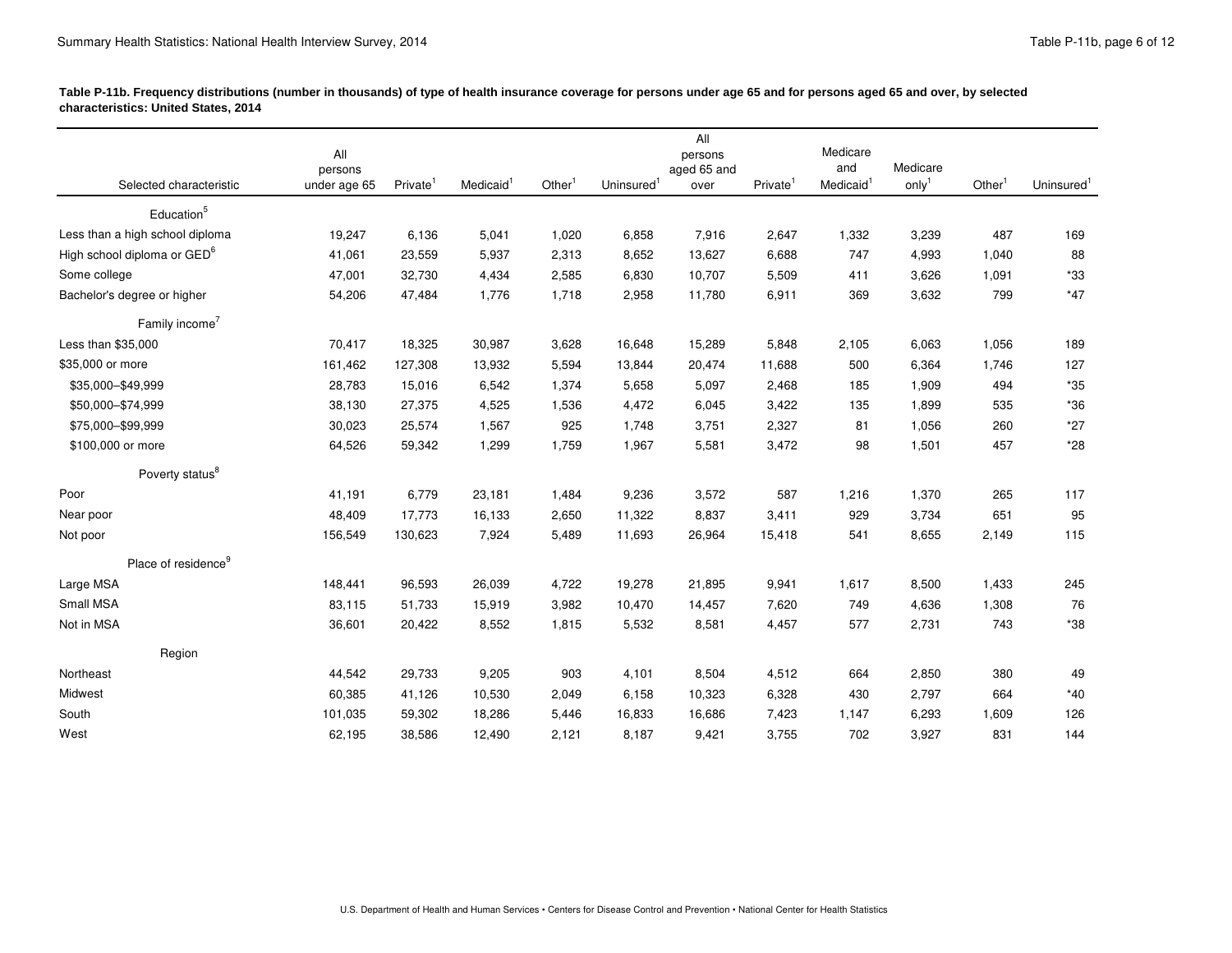| characteristics: United States, 2014                                                            | rable r-Tip. Flequency distributions (humber in thousands) or type or health insurance coverage for persons under age of and for persons aged to and over, by selected                                        |       |                                                               |       |                 |          |                  |     |
|-------------------------------------------------------------------------------------------------|---------------------------------------------------------------------------------------------------------------------------------------------------------------------------------------------------------------|-------|---------------------------------------------------------------|-------|-----------------|----------|------------------|-----|
| the contract of the contract of the contract of the contract of the contract of the contract of |                                                                                                                                                                                                               |       | – ∆⊪                                                          |       |                 |          |                  |     |
|                                                                                                 | persons                                                                                                                                                                                                       |       | persons<br>aged 65 and                                        |       | Medicare<br>and | Medicare |                  |     |
| Selected characteristic<br>and the contract of the contract of the                              | under age 65 Private <sup>1</sup> Medicaid <sup>1</sup> Other <sup>1</sup> Uninsured <sup>1</sup> over Private <sup>1</sup> Medicaid <sup>1</sup> only <sup>1</sup> Other <sup>1</sup> Uninsured <sup>1</sup> |       |                                                               |       |                 |          |                  |     |
| Education <sup>5</sup>                                                                          |                                                                                                                                                                                                               |       |                                                               |       |                 |          |                  |     |
| Less than a high school diploma                                                                 | 19,247 6,136<br>5,041                                                                                                                                                                                         | 1,020 | 6,858<br>7,916                                                | 2,647 | 1,332           | 3,239    | 169<br>487       |     |
| High school diploma or GED <sup>6</sup>                                                         | 41,061 23,559<br>5,937                                                                                                                                                                                        | 2,313 | 8,652 13,627                                                  | 6,688 | 747             | 4,993    | 1,040            |     |
| Some college                                                                                    | 47,001 32,730<br>4,434                                                                                                                                                                                        | 2,585 | 6,830 10,707                                                  | 5.509 | 411             | 3.626    | 1.091            |     |
| Bachelor's degree or higher                                                                     | 54,206 47,484 1,776 1,718 2,958 11,780 6,911 369 3,632 799 *47                                                                                                                                                |       |                                                               |       |                 |          |                  |     |
| Family income <sup>7</sup>                                                                      |                                                                                                                                                                                                               |       |                                                               |       |                 |          |                  |     |
| Less than \$35,000                                                                              | 70,417 18,325<br>30,987                                                                                                                                                                                       | 3,628 | 16,648 15,289                                                 | 5,848 | 2,105           | 6,063    | 1.056 189        |     |
| \$35,000 or more                                                                                | 161,462 127,308<br>13,932                                                                                                                                                                                     | 5.594 | 13.844 20.474 11.688                                          |       | 500             | 6.364    | 1.746            | 127 |
| \$35,000-\$49,999                                                                               | 28,783 15,016<br>6,542                                                                                                                                                                                        | 1,374 | 5,658<br>5,097                                                | 2,468 | 185             | 1,909    | 494              |     |
| \$50,000-\$74,999                                                                               | 38,130 27,375<br>4,525                                                                                                                                                                                        | 1.536 | 4,472 6,045                                                   | 3,422 | 135             | 1.899    | 535 *36          |     |
| \$75,000-\$99,999                                                                               | 30,023 25,574<br>1,567                                                                                                                                                                                        | 925   | 1,748 3,751                                                   | 2,327 | 81              | 1,056    | 260              | *27 |
| \$100,000 or more                                                                               | 64,526 59,342                                                                                                                                                                                                 |       | 1,299 1,759 1,967 5,581 3,472                                 |       |                 |          | 98 1,501 457 *28 |     |
| Poverty status <sup>8</sup>                                                                     |                                                                                                                                                                                                               |       |                                                               |       |                 |          |                  |     |
| Poor                                                                                            | 41,191 6,779<br>23,181                                                                                                                                                                                        | 1,484 | 3,572<br>9,236                                                | 587   | 1,216           | 1.370    | 265              | 117 |
| Near poor                                                                                       | 48,409 17,773<br>16,133                                                                                                                                                                                       |       | 2,650 11,322 8,837                                            | 3,411 | 929             | 3,734    | 651              |     |
| Not poor                                                                                        | 156,549  130,623                                                                                                                                                                                              |       | 7,924 5,489 11,693 26,964 15,418 541 8,655 2,149 115          |       |                 |          |                  |     |
| Place of residence <sup>9</sup>                                                                 |                                                                                                                                                                                                               |       |                                                               |       |                 |          |                  |     |
| Large MSA                                                                                       | 148,441 96,593<br>26,039                                                                                                                                                                                      |       | 4,722  19,278  21,895                                         | 9,941 | 1,617           | 8,500    | 1,433 245        |     |
| Small MSA                                                                                       | 15,919<br>83,115 51,733                                                                                                                                                                                       |       | 3,982  10,470  14,457                                         | 7,620 | 749             | 4,636    | 1,308            |     |
| Not in MSA                                                                                      | 36,601 20,422 8,552 1,815 5,532 8,581 4,457 577 2,731 743 *38                                                                                                                                                 |       |                                                               |       |                 |          |                  |     |
|                                                                                                 |                                                                                                                                                                                                               |       |                                                               |       |                 |          |                  |     |
| Region                                                                                          |                                                                                                                                                                                                               |       |                                                               |       |                 |          |                  |     |
| Northeast                                                                                       | 44,542 29,733<br>9,205                                                                                                                                                                                        | 903   | 4,101<br>8,504                                                | 4,512 | 664             | 2,850    | 380              |     |
| Midwest                                                                                         | 10,530<br>60,385 41,126                                                                                                                                                                                       | 2.049 | 6,158 10,323                                                  | 6.328 | 430             | 2.797    | 664              |     |
| South                                                                                           | 59,302<br>18.286                                                                                                                                                                                              | 5.446 | 16,833<br>16,686<br>2,121 8,187 9,421 3,755 702 3,927 831 144 | 7.423 | 1.147           | 6.293    | 1.609            | 126 |
| West                                                                                            | 62,195 38,586 12,490                                                                                                                                                                                          |       |                                                               |       |                 |          |                  |     |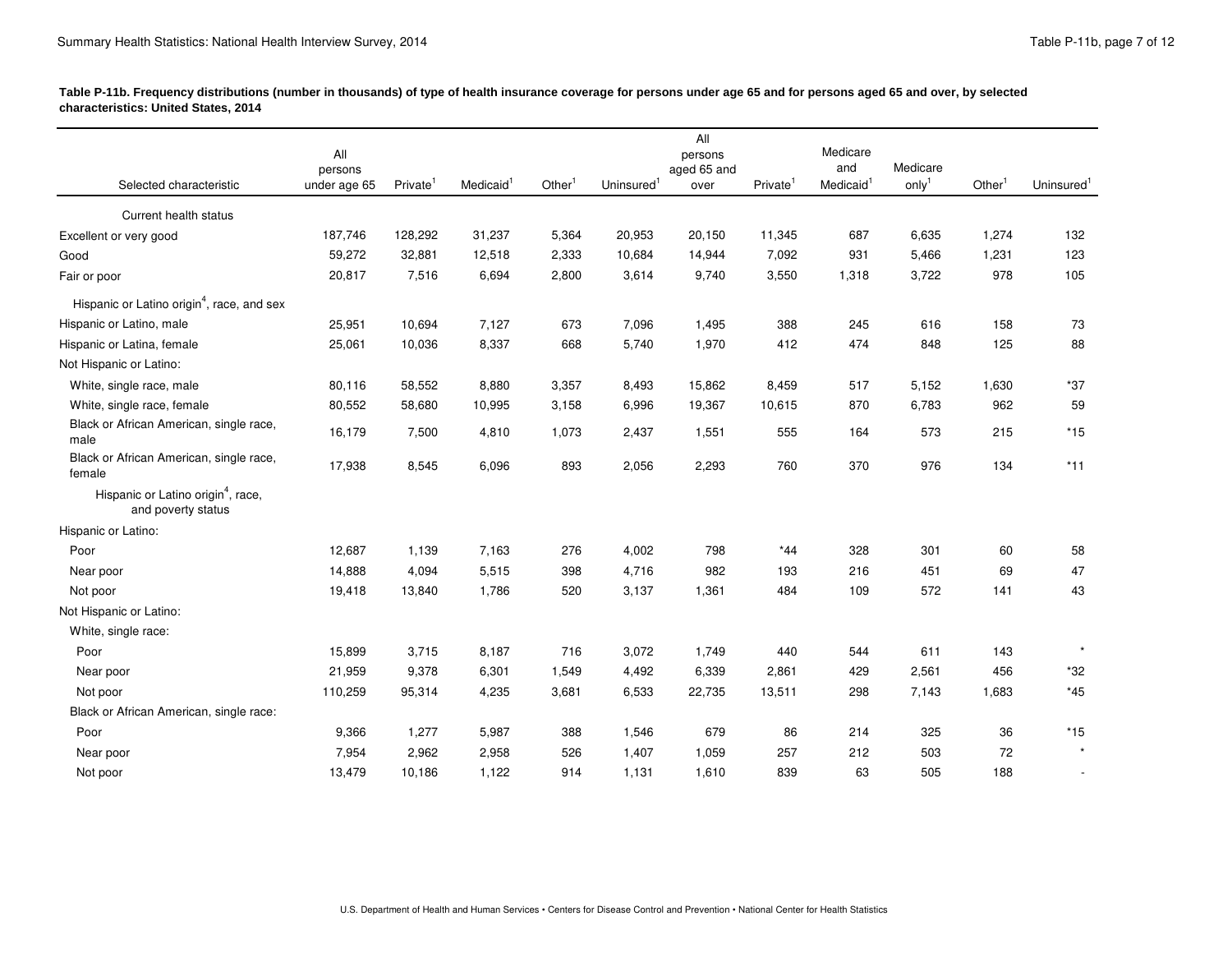| Selected characteristic<br>and the contract of the contract of the contract of the contract of the contract of the contract of the contract of | persons | under age 65 Private <sup>1</sup> Medicaid <sup>1</sup> Other <sup>1</sup> Uninsured <sup>1</sup> over Private <sup>1</sup> Medicaid <sup>1</sup> only <sup>1</sup> Other <sup>1</sup> Uninsured <sup>1</sup><br>187,746  128,292 |                |                         |                | <b>All</b><br>persons<br>aged 65 and |              | Medicare<br>and<br>Medicare                                                                                                                                                                                                          |             |                          |
|------------------------------------------------------------------------------------------------------------------------------------------------|---------|-----------------------------------------------------------------------------------------------------------------------------------------------------------------------------------------------------------------------------------|----------------|-------------------------|----------------|--------------------------------------|--------------|--------------------------------------------------------------------------------------------------------------------------------------------------------------------------------------------------------------------------------------|-------------|--------------------------|
|                                                                                                                                                |         |                                                                                                                                                                                                                                   |                |                         |                |                                      |              |                                                                                                                                                                                                                                      |             |                          |
|                                                                                                                                                |         |                                                                                                                                                                                                                                   |                |                         |                |                                      |              |                                                                                                                                                                                                                                      |             |                          |
|                                                                                                                                                |         |                                                                                                                                                                                                                                   |                |                         |                |                                      |              | <u>in the contract of the contract of the contract of the contract of the contract of the contract of the contract of the contract of the contract of the contract of the contract of the contract of the contract of the contra</u> |             |                          |
| Current health status                                                                                                                          |         |                                                                                                                                                                                                                                   |                |                         |                |                                      |              |                                                                                                                                                                                                                                      |             |                          |
| Excellent or very good                                                                                                                         |         |                                                                                                                                                                                                                                   | 31,237         | 5,364                   | 20,953         | 20,150 11,345                        |              | 687<br>6,635                                                                                                                                                                                                                         |             | 1,274 132                |
| Good                                                                                                                                           |         | 59,272 32,881                                                                                                                                                                                                                     | 12,518         | 2,333                   | 10,684         | 14,944                               | 7,092        | 5,466<br>- 931                                                                                                                                                                                                                       | 1,231       | 123                      |
| Fair or poor                                                                                                                                   |         | 20.817<br>7,516                                                                                                                                                                                                                   | 6,694          | 2,800 3,614 9,740 3,550 |                |                                      |              | 1,318 3,722 978 105                                                                                                                                                                                                                  |             |                          |
| Hispanic or Latino origin <sup>4</sup> , race, and sex                                                                                         |         |                                                                                                                                                                                                                                   |                |                         |                |                                      |              |                                                                                                                                                                                                                                      |             |                          |
| Hispanic or Latino, male                                                                                                                       |         | 25,951 10,694                                                                                                                                                                                                                     | 7,127          | 673                     | 7,096 1,495    |                                      | 388          | 245                                                                                                                                                                                                                                  | 616<br>158  |                          |
| Hispanic or Latina, female                                                                                                                     |         | 25,061 10,036                                                                                                                                                                                                                     | 8,337          | 668                     | 5,740 1,970    |                                      | 412 474      |                                                                                                                                                                                                                                      | 848         | 125 88                   |
| Not Hispanic or Latino:                                                                                                                        |         |                                                                                                                                                                                                                                   |                |                         |                |                                      |              |                                                                                                                                                                                                                                      |             |                          |
| White, single race, male                                                                                                                       |         | 80,116 58,552                                                                                                                                                                                                                     | 8,880          | 3,357                   | 8,493          | 15,862                               | 8,459        | 517<br>5,152                                                                                                                                                                                                                         | 1,630       | *37                      |
| White, single race, female<br>Black or African American, single race,                                                                          |         | 80,552 58,680                                                                                                                                                                                                                     | 10,995         | 3,158                   | 6,996 19,367   |                                      | 10,615       | 6,783<br>870                                                                                                                                                                                                                         | 962         |                          |
| male                                                                                                                                           |         | 16,179 7,500                                                                                                                                                                                                                      | 4,810          | 1,073                   | 2,437          | 1,551                                | 555          | 164                                                                                                                                                                                                                                  | 573         | 215 *15                  |
| Black or African American, single race,                                                                                                        |         | 8,545<br>17.938                                                                                                                                                                                                                   | 6,096          | 893                     | 2,056          | 2,293                                | 760          | 370                                                                                                                                                                                                                                  | 976 134 *11 |                          |
| female                                                                                                                                         |         |                                                                                                                                                                                                                                   |                |                         |                |                                      |              |                                                                                                                                                                                                                                      |             |                          |
| Hispanic or Latino origin <sup>4</sup> , race,<br>and poverty status                                                                           |         |                                                                                                                                                                                                                                   |                |                         |                |                                      |              |                                                                                                                                                                                                                                      |             |                          |
| Hispanic or Latino:                                                                                                                            |         |                                                                                                                                                                                                                                   |                |                         |                |                                      |              |                                                                                                                                                                                                                                      |             |                          |
| Poor                                                                                                                                           |         | 12,687<br>1,139                                                                                                                                                                                                                   | 7,163          | 276                     | 4,002          | 798                                  | $*44$        | 328                                                                                                                                                                                                                                  |             | - 58                     |
| Near poor                                                                                                                                      |         | 14,888<br>4,094                                                                                                                                                                                                                   | 5,515          | 398                     | 4,716          | 982                                  | 193          | 216<br>- 451                                                                                                                                                                                                                         | 69          |                          |
| Not poor                                                                                                                                       |         | 19,418  13,840  1,786                                                                                                                                                                                                             |                | 520 3,137 1,361         |                |                                      | 484 109      | 572                                                                                                                                                                                                                                  | 141         | 43                       |
| Not Hispanic or Latino:                                                                                                                        |         |                                                                                                                                                                                                                                   |                |                         |                |                                      |              |                                                                                                                                                                                                                                      |             |                          |
| White, single race:                                                                                                                            |         | 15,899                                                                                                                                                                                                                            |                | 716                     |                |                                      |              |                                                                                                                                                                                                                                      | 611<br>143  |                          |
| Poor<br>Near poor                                                                                                                              |         | 3,715<br>21,959<br>9,378                                                                                                                                                                                                          | 8,187<br>6,301 | 1,549                   | 3,072<br>4,492 | 1,749<br>6,339                       | 440<br>2,861 | 544<br>2,561<br>429                                                                                                                                                                                                                  | 456         | -*32                     |
| Not poor                                                                                                                                       |         | 110,259 95,314                                                                                                                                                                                                                    | 4,235          | 3,681                   | 6,533          | 22,735 13,511                        |              | 7,143<br>298                                                                                                                                                                                                                         |             | 1,683 *45                |
| Black or African American, single race:                                                                                                        |         |                                                                                                                                                                                                                                   |                |                         |                |                                      |              |                                                                                                                                                                                                                                      |             |                          |
| Poor                                                                                                                                           |         | 1,277<br>9,366                                                                                                                                                                                                                    | 5.987          |                         | 1,546          | 679                                  | - 86         | 214                                                                                                                                                                                                                                  |             | $*15$                    |
| Near poor                                                                                                                                      |         | 7.954<br>2,962                                                                                                                                                                                                                    | 2.958          | 526                     | 1,407          | 1,059                                | 257          |                                                                                                                                                                                                                                      |             |                          |
| Not poor                                                                                                                                       |         | 13,479 10,186                                                                                                                                                                                                                     | 1,122          | 914                     | 1,131 1,610    |                                      | 839          | 63                                                                                                                                                                                                                                   | 505<br>188  | <b>Contract Contract</b> |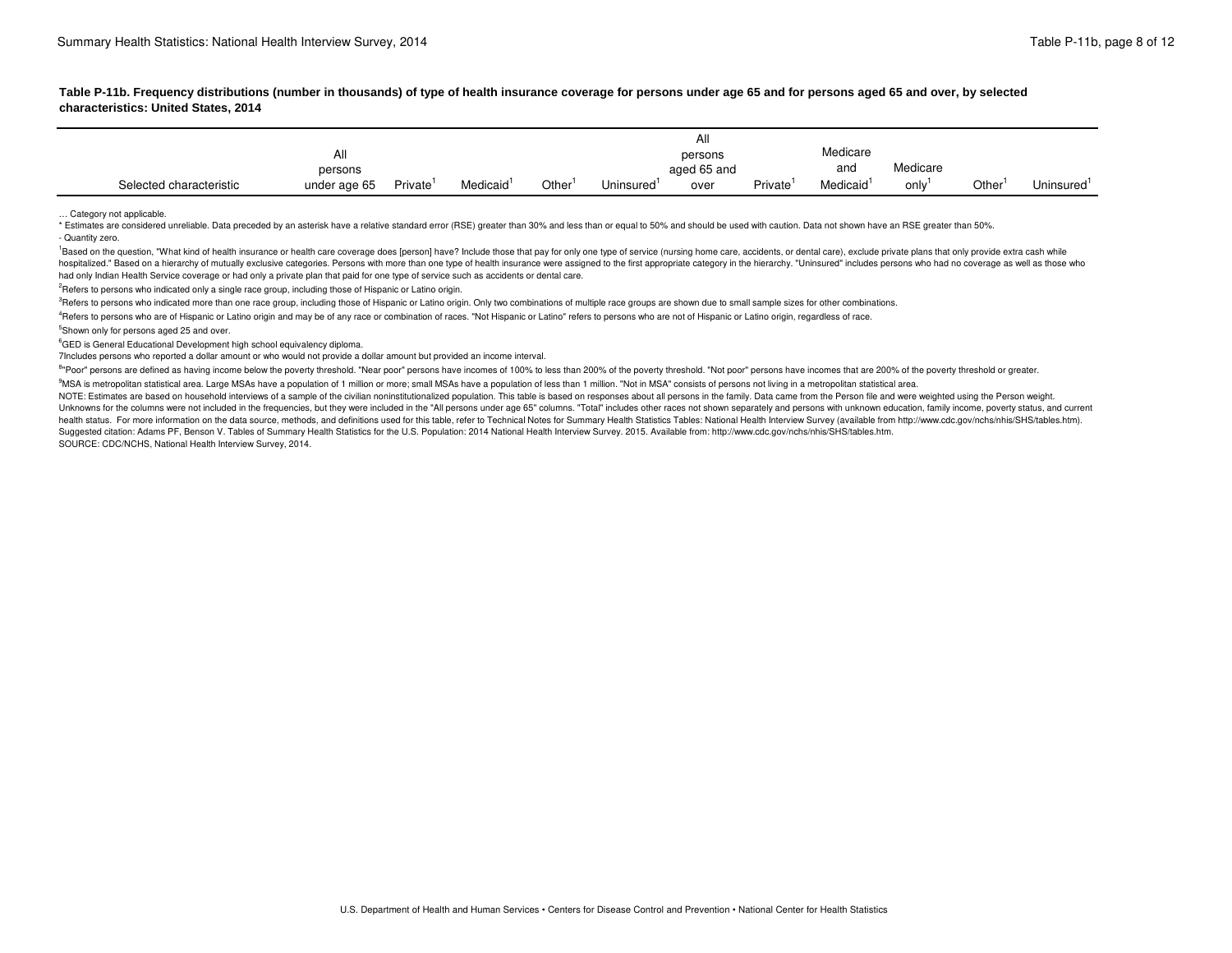| characteristics: United States, 2014                                                                            | Table L-T D. Lieduchcy distributions (humber in thousands) or type or health insurance coverage for persons under age to and for persons aged to allet the source over the source of serviced                                                                                                              |  |  |  |
|-----------------------------------------------------------------------------------------------------------------|------------------------------------------------------------------------------------------------------------------------------------------------------------------------------------------------------------------------------------------------------------------------------------------------------------|--|--|--|
|                                                                                                                 |                                                                                                                                                                                                                                                                                                            |  |  |  |
|                                                                                                                 |                                                                                                                                                                                                                                                                                                            |  |  |  |
|                                                                                                                 |                                                                                                                                                                                                                                                                                                            |  |  |  |
|                                                                                                                 | persons persons persone persone persone and Medicare and Medicare<br>Selected characteristic under age 65 Private <sup>1</sup> Medicaid <sup>1</sup> Other <sup>1</sup> Uninsured <sup>1</sup> over Private <sup>1</sup> Medicaid <sup>1</sup> only <sup>1</sup> Other <sup>1</sup> Uninsured <sup>1</sup> |  |  |  |
| the contract of the contract of the contract of the contract of the contract of the contract of the contract of |                                                                                                                                                                                                                                                                                                            |  |  |  |

... Category not applicable.<br>\* Estimates are considered unreliable. Data preceded by an asterisk have a relative standard error (RSE) greater than 30% and less than or equal to 50% and should be used with caution. Data not

 had only Indian Health Service coverage or had only a private plan that paid for one type of service such as accidents or dental care. 1<br>Based on the question. "What kind of health insurance or health care coverage does loerson) have? Include those that pay for only one type of service (nursing home care, accidents, or dental care), exclude private plans hospitalized." Based on a hierarchy of mutually exclusive categories. Persons with more than one type of health insurance were assigned to the first appropriate category in the hierarchy. "Uninsured" includes persons who h

<sup>2</sup>Refers to persons who indicated only a single race group, including those of Hispanic or Latino origin.

<sup>3</sup>Refers to persons who indicated more than one race group, including those of Hispanic or Latino origin. Only two combinations of multiple race groups are shown due to small sample sizes for other combinations.

<sup>4</sup>Refers to persons who are of Hispanic or Latino origin and may be of any race or combination of races. "Not Hispanic or Latino" refers to persons who are not of Hispanic or Latino origin, regardless of race.

<sup>5</sup>Shown only for persons aged 25 and over.

<sup>6</sup>GED is General Educational Development high school equivalency diploma.

 $^6$ GED is General Educational Development high school equivalency diploma.<br>7Includes persons who reported a dollar amount or who would not provide a dollar amount but provided an income interval.

<sup>8</sup>"Poor" persons are defined as having income below the poverty threshold. "Near poor" persons have incomes of 100% to less than 200% of the poverty threshold. "Not poor" persons have incomes that are 200% of the poverty

<sup>9</sup>MSA is metropolitan statistical area. Large MSAs have a population of 1 million or more; small MSAs have a population of less than 1 million. "Not in MSA" consists of persons not living in a metropolitan statistical are

Suggested citation: Adams PF, Benson V. Tables of Summary Health Statistics for the U.S. Population: 2014 National Health Interview Survey. 2015. Available from: [http://www.cdc.gov/nchs/nhis/SHS/tables.htm.](http://www.cdc.gov/nchs/nhis/SHS/tables.htm) NOTE: Estimates are based on household interviews of a sample of the civilian noninstitutionalized population. This table is based on responses about all persons in the family. Data came from the Person file and were weigh Unknowns for the columns were not included in the frequencies, but they were included in the "All persons under age 65" columns. "Total" includes other races not shown separately and persons with unknown education, family health status. For more information on the data source, methods, and definitions used for this table, refer to Technical Notes for Summary Health Statistics Tables: National Health Interview Survey (available from http://w SOURCE: CDC/NCHS, National Health Interview Survey, 2014.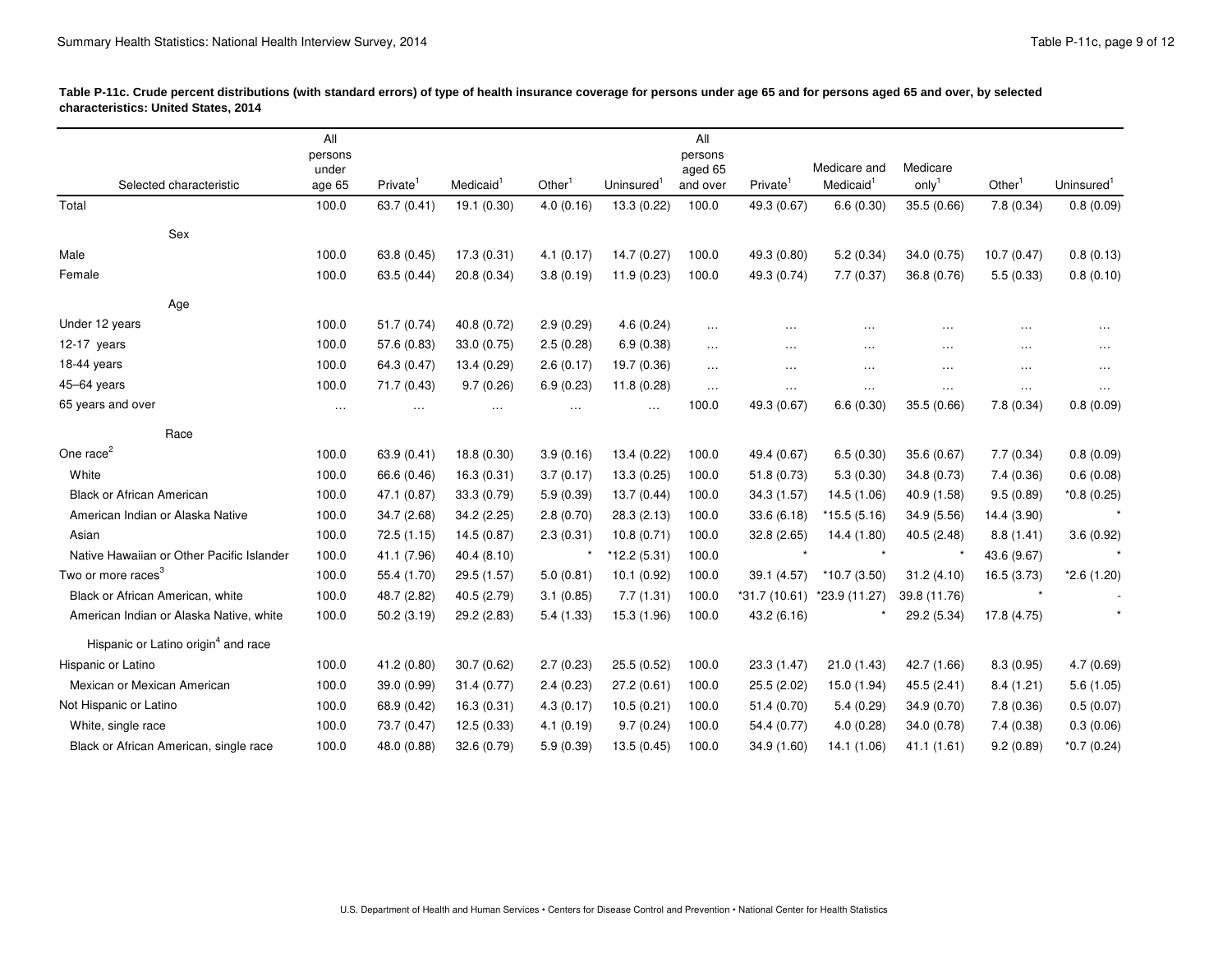| Table P-11c. Crude percent distributions (with standard errors) of type of health insurance coverage for persons under age 65 and for persons aged 65 and over, by selected<br>characteristics: United States, 2014 |                         |                                                                                                                                                                                                             |                           |                                                                                 |  |
|---------------------------------------------------------------------------------------------------------------------------------------------------------------------------------------------------------------------|-------------------------|-------------------------------------------------------------------------------------------------------------------------------------------------------------------------------------------------------------|---------------------------|---------------------------------------------------------------------------------|--|
| the contract of the contract of the contract of the contract of the contract of the contract of the contract of                                                                                                     | All<br>persons<br>under |                                                                                                                                                                                                             | All<br>persons<br>aged 65 | Medicare and Medicare                                                           |  |
| Selected characteristic                                                                                                                                                                                             |                         | age 65 Private <sup>1</sup> Medicaid <sup>1</sup> Other <sup>1</sup> Uninsured <sup>1</sup> and over Private <sup>1</sup> Medicaid <sup>1</sup> only <sup>1</sup> Other <sup>1</sup> Uninsured <sup>1</sup> |                           |                                                                                 |  |
| Total                                                                                                                                                                                                               |                         | 100.0 63.7 (0.41) 19.1 (0.30) 4.0 (0.16) 13.3 (0.22) 100.0 49.3 (0.67) 6.6 (0.30) 35.5 (0.66) 7.8 (0.34) 0.8 (0.09)                                                                                         |                           |                                                                                 |  |
| Sex                                                                                                                                                                                                                 |                         |                                                                                                                                                                                                             |                           |                                                                                 |  |
| Male                                                                                                                                                                                                                |                         | 100.0 63.8 (0.45) 17.3 (0.31) 4.1 (0.17) 14.7 (0.27) 100.0 49.3 (0.80) 5.2 (0.34) 34.0 (0.75) 10.7 (0.47) 0.8 (0.13)                                                                                        |                           |                                                                                 |  |
| Female                                                                                                                                                                                                              |                         | 100.0 63.5 (0.44) 20.8 (0.34) 3.8 (0.19) 11.9 (0.23) 100.0 49.3 (0.74) 7.7 (0.37) 36.8 (0.76) 5.5 (0.33) 0.8 (0.10)                                                                                         |                           |                                                                                 |  |
| Age                                                                                                                                                                                                                 |                         |                                                                                                                                                                                                             |                           |                                                                                 |  |
| Under 12 years                                                                                                                                                                                                      |                         | 100.0 51.7 (0.74) 40.8 (0.72) 2.9 (0.29) 4.6 (0.24)                                                                                                                                                         | and the company of        | المعطور والمنادي والمعجود والمنادي والمعجود والمنادي والمعجود والمنادي ومعجودات |  |
| 12-17 years                                                                                                                                                                                                         |                         | 100.0 57.6 (0.83) 33.0 (0.75) 2.5 (0.28) 6.9 (0.38)                                                                                                                                                         | <b>Contract Contract</b>  | the contract of the contract of the contract of the contract of the contract of |  |
| 18-44 years                                                                                                                                                                                                         |                         | 100.0 64.3 (0.47) 13.4 (0.29) 2.6 (0.17) 19.7 (0.36)                                                                                                                                                        |                           | the company of the company of the company of the company of                     |  |
| 45-64 years                                                                                                                                                                                                         |                         | 100.0 71.7 (0.43) 9.7 (0.26) 6.9 (0.23) 11.8 (0.28)                                                                                                                                                         |                           | المستعمل والمستعمل والمستعمل والمستعمل والمستعمل والمستعمل والمستعمل والمستعمل  |  |
| 65 years and over                                                                                                                                                                                                   |                         | $\ldots$ $\ldots$ $\ldots$ $\ldots$ $\ldots$ $\ldots$ $100.0$ $49.3(0.67)$ $6.6(0.30)$ $35.5(0.66)$ $7.8(0.34)$ $0.8(0.09)$                                                                                 |                           |                                                                                 |  |
| Race                                                                                                                                                                                                                |                         |                                                                                                                                                                                                             |                           |                                                                                 |  |
| One race <sup><math>\epsilon</math></sup>                                                                                                                                                                           |                         | 100.0 63.9 (0.41) 18.8 (0.30) 3.9 (0.16) 13.4 (0.22) 100.0 49.4 (0.67) 6.5 (0.30) 35.6 (0.67) 7.7 (0.34) 0.8 (0.09)                                                                                         |                           |                                                                                 |  |
| White                                                                                                                                                                                                               |                         | 100.0 66.6 (0.46) 16.3 (0.31) 3.7 (0.17) 13.3 (0.25) 100.0 51.8 (0.73) 5.3 (0.30) 34.8 (0.73) 7.4 (0.36) 0.6 (0.08)                                                                                         |                           |                                                                                 |  |
| Black or African American                                                                                                                                                                                           |                         | 100.0 47.1 (0.87) 33.3 (0.79) 5.9 (0.39) 13.7 (0.44) 100.0 34.3 (1.57) 14.5 (1.06) 40.9 (1.58) 9.5 (0.89) *0.8 (0.25)                                                                                       |                           |                                                                                 |  |
| American Indian or Alaska Native                                                                                                                                                                                    |                         | 100.0 34.7 (2.68) 34.2 (2.25) 2.8 (0.70) 28.3 (2.13) 100.0 33.6 (6.18) *15.5 (5.16) 34.9 (5.56) 14.4 (3.90)                                                                                                 |                           |                                                                                 |  |
| Asian                                                                                                                                                                                                               |                         | 100.0 72.5 (1.15) 14.5 (0.87) 2.3 (0.31) 10.8 (0.71) 100.0 32.8 (2.65) 14.4 (1.80) 40.5 (2.48) 8.8 (1.41) 3.6 (0.92)                                                                                        |                           |                                                                                 |  |
| Native Hawaiian or Other Pacific Islander 100.0 41.1 (7.96) 40.4 (8.10)                                                                                                                                             |                         |                                                                                                                                                                                                             | $*$ * 12.2 (5.31) 100.0   | * * * * * 43.6 (9.67)                                                           |  |
| Two or more races <sup>3</sup>                                                                                                                                                                                      |                         | 100.0 55.4 (1.70) 29.5 (1.57) 5.0 (0.81) 10.1 (0.92) 100.0 39.1 (4.57) *10.7 (3.50) 31.2 (4.10) 16.5 (3.73) *2.6 (1.20)                                                                                     |                           |                                                                                 |  |
| Black or African American, white                                                                                                                                                                                    |                         | 100.0 48.7 (2.82) 40.5 (2.79) 3.1 (0.85) 7.7 (1.31) 100.0 *31.7 (10.61) *23.9 (11.27) 39.8 (11.76)                                                                                                          |                           |                                                                                 |  |
| American Indian or Alaska Native, white                                                                                                                                                                             |                         | 100.0 50.2 (3.19) 29.2 (2.83) 5.4 (1.33) 15.3 (1.96) 100.0 43.2 (6.16) * 29.2 (5.34) 17.8 (4.75)                                                                                                            |                           |                                                                                 |  |
| Hispanic or Latino origin <sup>4</sup> and race                                                                                                                                                                     |                         |                                                                                                                                                                                                             |                           |                                                                                 |  |
| Hispanic or Latino                                                                                                                                                                                                  |                         | 100.0 41.2 (0.80) 30.7 (0.62) 2.7 (0.23) 25.5 (0.52) 100.0 23.3 (1.47) 21.0 (1.43) 42.7 (1.66) 8.3 (0.95) 4.7 (0.69)                                                                                        |                           |                                                                                 |  |
| Mexican or Mexican American                                                                                                                                                                                         |                         | 100.0 39.0 (0.99) 31.4 (0.77) 2.4 (0.23) 27.2 (0.61) 100.0 25.5 (2.02) 15.0 (1.94) 45.5 (2.41) 8.4 (1.21) 5.6 (1.05)                                                                                        |                           |                                                                                 |  |
| Not Hispanic or Latino                                                                                                                                                                                              |                         | 100.0 68.9 (0.42) 16.3 (0.31) 4.3 (0.17) 10.5 (0.21) 100.0 51.4 (0.70) 5.4 (0.29) 34.9 (0.70) 7.8 (0.36) 0.5 (0.07)                                                                                         |                           |                                                                                 |  |
| White, single race                                                                                                                                                                                                  |                         | 100.0 73.7 (0.47) 12.5 (0.33) 4.1 (0.19) 9.7 (0.24) 100.0 54.4 (0.77) 4.0 (0.28) 34.0 (0.78) 7.4 (0.38) 0.3 (0.06)                                                                                          |                           |                                                                                 |  |
| Black or African American, single race                                                                                                                                                                              |                         | 100.0 48.0 (0.88) 32.6 (0.79) 5.9 (0.39) 13.5 (0.45) 100.0 34.9 (1.60) 14.1 (1.06) 41.1 (1.61) 9.2 (0.89) *0.7 (0.24)                                                                                       |                           |                                                                                 |  |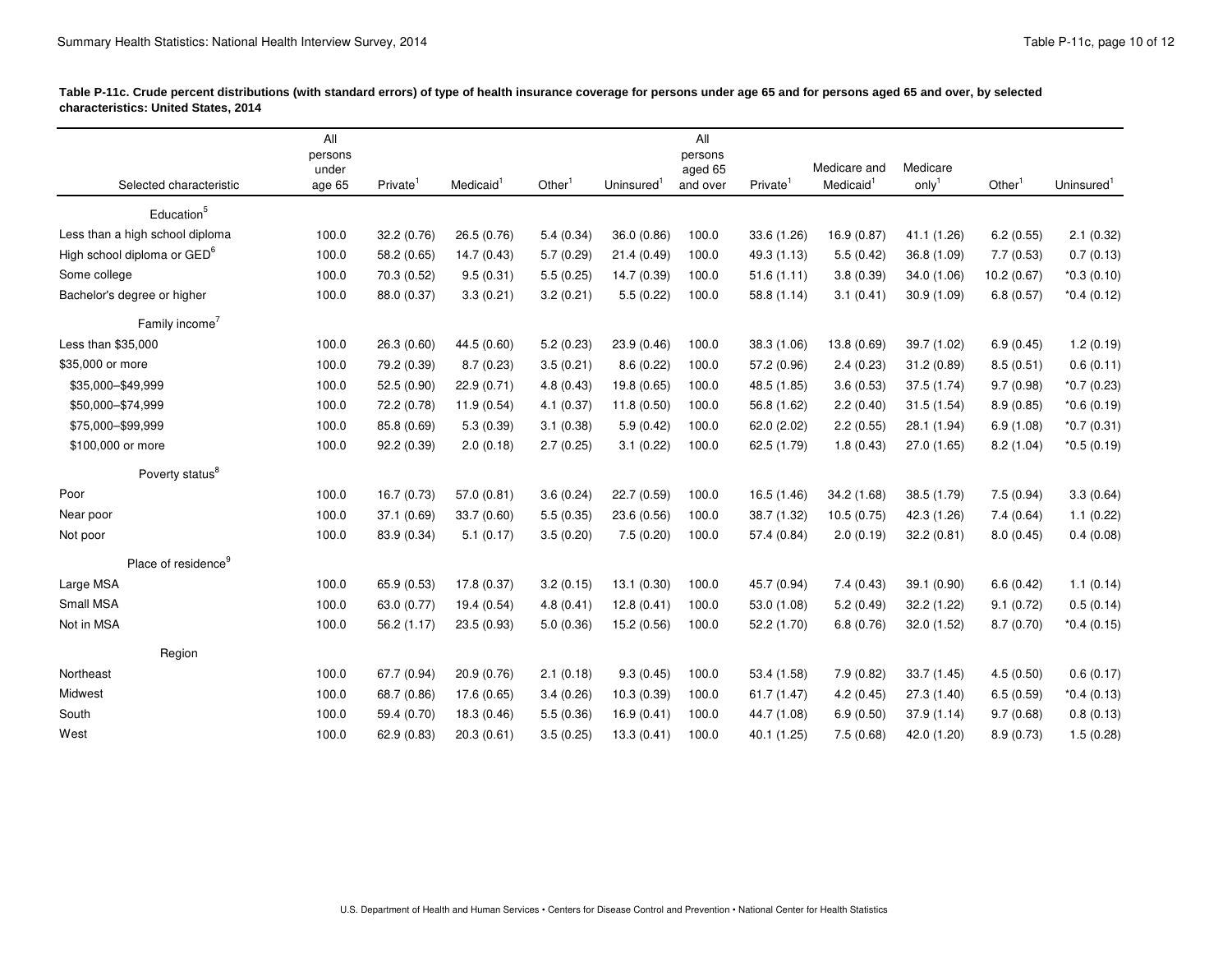| characteristics: United States, 2014                      |                |                | Table P-11c. Crude percent distributions (with standard errors) of type of health insurance coverage for persons under age 65 and for persons aged 65 and over, by selected                                                               |  |
|-----------------------------------------------------------|----------------|----------------|-------------------------------------------------------------------------------------------------------------------------------------------------------------------------------------------------------------------------------------------|--|
|                                                           | All<br>persons | All<br>persons |                                                                                                                                                                                                                                           |  |
| Selected characteristic                                   | under          | aged 65        | Medicare and Medicare<br>age 65 Private <sup>1</sup> Medicaid <sup>1</sup> Other <sup>1</sup> Uninsured <sup>1</sup> and over Private <sup>1</sup> Medicaid <sup>1</sup> only <sup>1</sup> Other <sup>1</sup> Uninsured <sup>1</sup>      |  |
| and the control of the control of the control of          |                |                |                                                                                                                                                                                                                                           |  |
| Education <sup>5</sup><br>Less than a high school diploma |                |                | 100.0 32.2 (0.76) 26.5 (0.76) 5.4 (0.34) 36.0 (0.86) 100.0 33.6 (1.26) 16.9 (0.87) 41.1 (1.26) 6.2 (0.55) 2.1 (0.32)                                                                                                                      |  |
| High school diploma or GED <sup>6</sup>                   |                |                | 100.0 58.2 (0.65) 14.7 (0.43) 5.7 (0.29) 21.4 (0.49) 100.0 49.3 (1.13) 5.5 (0.42) 36.8 (1.09) 7.7 (0.53) 0.7 (0.13)                                                                                                                       |  |
| Some college                                              |                |                | 100.0 70.3 (0.52) 9.5 (0.31) 5.5 (0.25) 14.7 (0.39) 100.0 51.6 (1.11) 3.8 (0.39) 34.0 (1.06) 10.2 (0.67) *0.3 (0.10)                                                                                                                      |  |
| Bachelor's degree or higher                               |                |                | 100.0 88.0 (0.37) 3.3 (0.21) 3.2 (0.21) 5.5 (0.22) 100.0 58.8 (1.14) 3.1 (0.41) 30.9 (1.09) 6.8 (0.57) *0.4 (0.12)                                                                                                                        |  |
|                                                           |                |                |                                                                                                                                                                                                                                           |  |
| Family income <sup>7</sup>                                |                |                |                                                                                                                                                                                                                                           |  |
| Less than \$35,000<br>\$35,000 or more                    |                |                | 100.0 26.3 (0.60) 44.5 (0.60) 5.2 (0.23) 23.9 (0.46) 100.0 38.3 (1.06) 13.8 (0.69) 39.7 (1.02) 6.9 (0.45) 1.2 (0.19)<br>100.0 79.2 (0.39) 8.7 (0.23) 3.5 (0.21) 8.6 (0.22) 100.0 57.2 (0.96) 2.4 (0.23) 31.2 (0.89) 8.5 (0.51) 0.6 (0.11) |  |
| \$35,000-\$49,999                                         |                |                | 100.0 52.5 (0.90) 22.9 (0.71) 4.8 (0.43) 19.8 (0.65) 100.0 48.5 (1.85) 3.6 (0.53) 37.5 (1.74) 9.7 (0.98) *0.7 (0.23)                                                                                                                      |  |
| \$50,000-\$74,999                                         |                |                | 100.0 72.2 (0.78) 11.9 (0.54) 4.1 (0.37) 11.8 (0.50) 100.0 56.8 (1.62) 2.2 (0.40) 31.5 (1.54) 8.9 (0.85) *0.6 (0.19)                                                                                                                      |  |
| \$75,000-\$99,999                                         |                |                | 100.0 85.8 (0.69) 5.3 (0.39) 3.1 (0.38) 5.9 (0.42) 100.0 62.0 (2.02) 2.2 (0.55) 28.1 (1.94) 6.9 (1.08) *0.7 (0.31)                                                                                                                        |  |
| \$100,000 or more                                         |                |                | 100.0 92.2 (0.39) 2.0 (0.18) 2.7 (0.25) 3.1 (0.22) 100.0 62.5 (1.79) 1.8 (0.43) 27.0 (1.65) 8.2 (1.04) *0.5 (0.19)                                                                                                                        |  |
|                                                           |                |                |                                                                                                                                                                                                                                           |  |
| Poverty status <sup>8</sup>                               |                |                |                                                                                                                                                                                                                                           |  |
| Poor                                                      |                |                | 100.0 16.7 (0.73) 57.0 (0.81) 3.6 (0.24) 22.7 (0.59) 100.0 16.5 (1.46) 34.2 (1.68) 38.5 (1.79) 7.5 (0.94) 3.3 (0.64)                                                                                                                      |  |
| Near poor                                                 |                |                | 100.0 37.1 (0.69) 33.7 (0.60) 5.5 (0.35) 23.6 (0.56) 100.0 38.7 (1.32) 10.5 (0.75) 42.3 (1.26) 7.4 (0.64) 1.1 (0.22)                                                                                                                      |  |
| Not poor                                                  |                |                | 100.0 83.9 (0.34) 5.1 (0.17) 3.5 (0.20) 7.5 (0.20) 100.0 57.4 (0.84) 2.0 (0.19) 32.2 (0.81) 8.0 (0.45) 0.4 (0.08)                                                                                                                         |  |
| Place of residence <sup>9</sup>                           |                |                |                                                                                                                                                                                                                                           |  |
| Large MSA                                                 |                |                | 100.0 65.9 (0.53) 17.8 (0.37) 3.2 (0.15) 13.1 (0.30) 100.0 45.7 (0.94) 7.4 (0.43) 39.1 (0.90) 6.6 (0.42) 1.1 (0.14)                                                                                                                       |  |
| Small MSA                                                 |                |                | 100.0 63.0 (0.77) 19.4 (0.54) 4.8 (0.41) 12.8 (0.41) 100.0 53.0 (1.08) 5.2 (0.49) 32.2 (1.22) 9.1 (0.72) 0.5 (0.14)                                                                                                                       |  |
| Not in MSA                                                |                |                | 100.0 56.2 (1.17) 23.5 (0.93) 5.0 (0.36) 15.2 (0.56) 100.0 52.2 (1.70) 6.8 (0.76) 32.0 (1.52) 8.7 (0.70) *0.4 (0.15)                                                                                                                      |  |
| Region                                                    |                |                |                                                                                                                                                                                                                                           |  |
| Northeast                                                 |                |                | 100.0 67.7 (0.94) 20.9 (0.76) 2.1 (0.18) 9.3 (0.45) 100.0 53.4 (1.58) 7.9 (0.82) 33.7 (1.45) 4.5 (0.50) 0.6 (0.17)                                                                                                                        |  |
| Midwest                                                   |                |                | 100.0 68.7 (0.86) 17.6 (0.65) 3.4 (0.26) 10.3 (0.39) 100.0 61.7 (1.47) 4.2 (0.45) 27.3 (1.40) 6.5 (0.59) *0.4 (0.13)                                                                                                                      |  |
| South                                                     |                |                | 100.0 59.4 (0.70) 18.3 (0.46) 5.5 (0.36) 16.9 (0.41) 100.0 44.7 (1.08) 6.9 (0.50) 37.9 (1.14) 9.7 (0.68) 0.8 (0.13)                                                                                                                       |  |
| West                                                      |                |                | 100.0 62.9 (0.83) 20.3 (0.61) 3.5 (0.25) 13.3 (0.41) 100.0 40.1 (1.25) 7.5 (0.68) 42.0 (1.20) 8.9 (0.73) 1.5 (0.28)                                                                                                                       |  |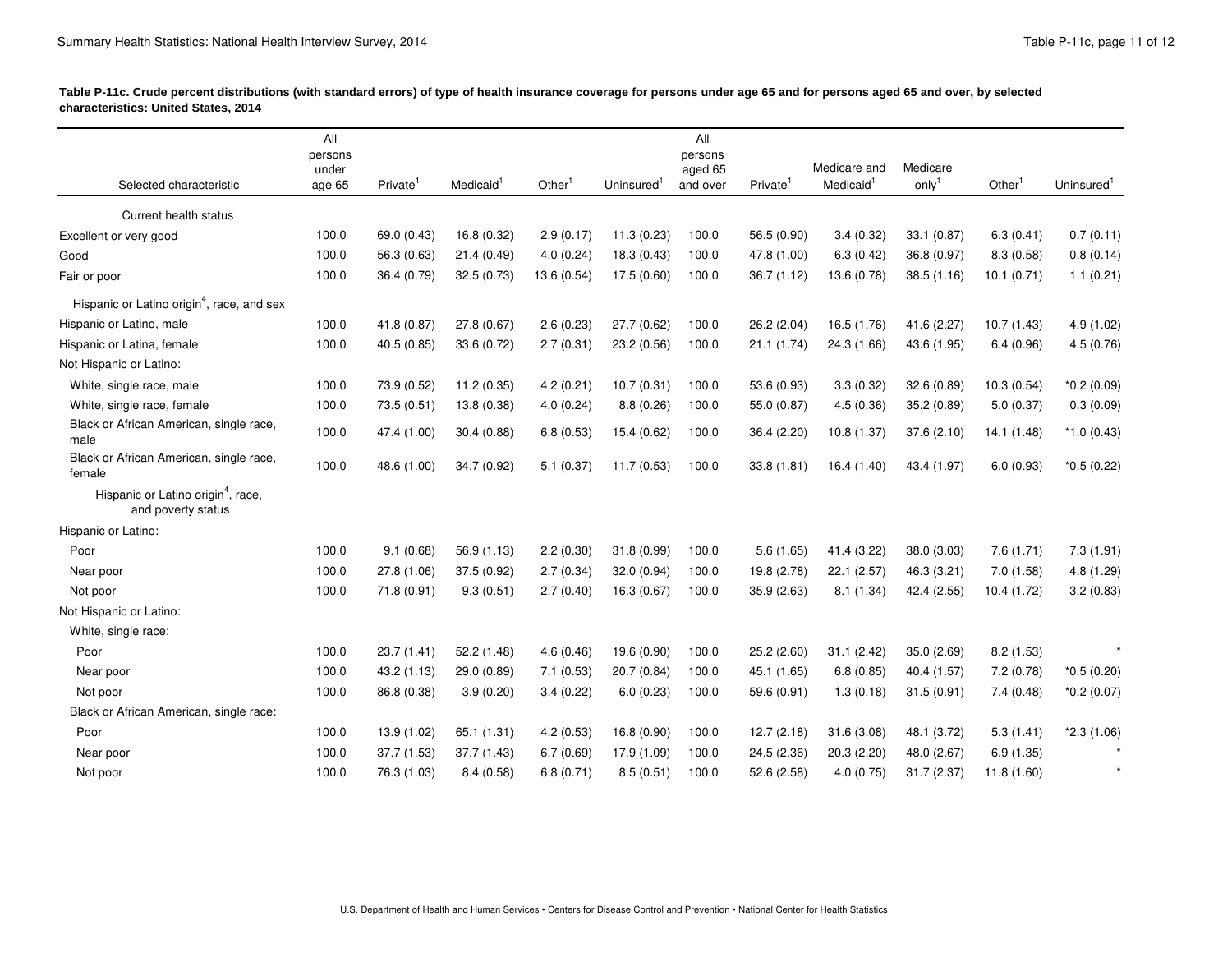| characteristics: United States, 2014                           | Table P-11c. Crude percent distributions (with standard errors) of type of health insurance coverage for persons under age 65 and for persons aged 65 and over, by selected |         |                                                                                                                                                                                                                                      |
|----------------------------------------------------------------|-----------------------------------------------------------------------------------------------------------------------------------------------------------------------------|---------|--------------------------------------------------------------------------------------------------------------------------------------------------------------------------------------------------------------------------------------|
|                                                                | All                                                                                                                                                                         | All     |                                                                                                                                                                                                                                      |
|                                                                | persons                                                                                                                                                                     | persons |                                                                                                                                                                                                                                      |
| Selected characteristic                                        | under                                                                                                                                                                       | aged 65 | Medicare and Medicare<br>age 65 Private <sup>1</sup> Medicaid <sup>1</sup> Other <sup>1</sup> Uninsured <sup>1</sup> and over Private <sup>1</sup> Medicaid <sup>1</sup> only <sup>1</sup> Other <sup>1</sup> Uninsured <sup>1</sup> |
| and the control of the control of the<br>Current health status |                                                                                                                                                                             |         |                                                                                                                                                                                                                                      |
| Excellent or very good                                         |                                                                                                                                                                             |         | 100.0 69.0 (0.43) 16.8 (0.32) 2.9 (0.17) 11.3 (0.23) 100.0 56.5 (0.90) 3.4 (0.32) 33.1 (0.87) 6.3 (0.41) 0.7 (0.11)                                                                                                                  |
| Good                                                           |                                                                                                                                                                             |         | 100.0 56.3 (0.63) 21.4 (0.49) 4.0 (0.24) 18.3 (0.43) 100.0 47.8 (1.00) 6.3 (0.42) 36.8 (0.97) 8.3 (0.58) 0.8 (0.14)                                                                                                                  |
| Fair or poor                                                   |                                                                                                                                                                             |         | 100.0 36.4 (0.79) 32.5 (0.73) 13.6 (0.54) 17.5 (0.60) 100.0 36.7 (1.12) 13.6 (0.78) 38.5 (1.16) 10.1 (0.71) 1.1 (0.21)                                                                                                               |
| Hispanic or Latino origin <sup>4</sup> , race, and sex         |                                                                                                                                                                             |         |                                                                                                                                                                                                                                      |
| Hispanic or Latino, male                                       |                                                                                                                                                                             |         | 100.0 41.8 (0.87) 27.8 (0.67) 2.6 (0.23) 27.7 (0.62) 100.0 26.2 (2.04) 16.5 (1.76) 41.6 (2.27) 10.7 (1.43) 4.9 (1.02)                                                                                                                |
| Hispanic or Latina, female                                     |                                                                                                                                                                             |         | 100.0 40.5 (0.85) 33.6 (0.72) 2.7 (0.31) 23.2 (0.56) 100.0 21.1 (1.74) 24.3 (1.66) 43.6 (1.95) 6.4 (0.96) 4.5 (0.76)                                                                                                                 |
| Not Hispanic or Latino:                                        |                                                                                                                                                                             |         |                                                                                                                                                                                                                                      |
| White, single race, male                                       |                                                                                                                                                                             |         | 100.0 73.9 (0.52) 11.2 (0.35) 4.2 (0.21) 10.7 (0.31) 100.0 53.6 (0.93) 3.3 (0.32) 32.6 (0.89) 10.3 (0.54) *0.2 (0.09)                                                                                                                |
| White, single race, female                                     |                                                                                                                                                                             |         | 100.0 73.5 (0.51) 13.8 (0.38) 4.0 (0.24) 8.8 (0.26) 100.0 55.0 (0.87) 4.5 (0.36) 35.2 (0.89) 5.0 (0.37) 0.3 (0.09)                                                                                                                   |
| Black or African American, single race,                        | 100.0                                                                                                                                                                       |         |                                                                                                                                                                                                                                      |
| male                                                           |                                                                                                                                                                             |         | 47.4 (1.00) 30.4 (0.88) 6.8 (0.53) 15.4 (0.62) 100.0 36.4 (2.20) 10.8 (1.37) 37.6 (2.10) 14.1 (1.48) *1.0 (0.43)                                                                                                                     |
| Black or African American, single race,<br>female              | 100.0                                                                                                                                                                       |         | 48.6 (1.00) 34.7 (0.92) 5.1 (0.37) 11.7 (0.53) 100.0 33.8 (1.81) 16.4 (1.40) 43.4 (1.97) 6.0 (0.93) *0.5 (0.22)                                                                                                                      |
| Hispanic or Latino origin <sup>4</sup> , race,                 |                                                                                                                                                                             |         |                                                                                                                                                                                                                                      |
| and poverty status                                             |                                                                                                                                                                             |         |                                                                                                                                                                                                                                      |
| Hispanic or Latino:                                            |                                                                                                                                                                             |         |                                                                                                                                                                                                                                      |
| Poor                                                           |                                                                                                                                                                             |         | 100.0 9.1 (0.68) 56.9 (1.13) 2.2 (0.30) 31.8 (0.99) 100.0 5.6 (1.65) 41.4 (3.22) 38.0 (3.03) 7.6 (1.71) 7.3 (1.91)                                                                                                                   |
| Near poor                                                      |                                                                                                                                                                             |         | 100.0 27.8 (1.06) 37.5 (0.92) 2.7 (0.34) 32.0 (0.94) 100.0 19.8 (2.78) 22.1 (2.57) 46.3 (3.21) 7.0 (1.58) 4.8 (1.29)                                                                                                                 |
| Not poor                                                       |                                                                                                                                                                             |         | 100.0 71.8 (0.91) 9.3 (0.51) 2.7 (0.40) 16.3 (0.67) 100.0 35.9 (2.63) 8.1 (1.34) 42.4 (2.55) 10.4 (1.72) 3.2 (0.83)                                                                                                                  |
| Not Hispanic or Latino:                                        |                                                                                                                                                                             |         |                                                                                                                                                                                                                                      |
| White, single race:                                            |                                                                                                                                                                             |         |                                                                                                                                                                                                                                      |
| Poor                                                           | $100.0$ 23.7 (1.41) 52.2 (1.48) 4.6 (0.46) 19.6 (0.90) 100.0 25.2 (2.60) 31.1 (2.42) 35.0 (2.69) 8.2 (1.53)                                                                 |         |                                                                                                                                                                                                                                      |
| Near poor                                                      |                                                                                                                                                                             |         | 100.0 43.2 (1.13) 29.0 (0.89) 7.1 (0.53) 20.7 (0.84) 100.0 45.1 (1.65) 6.8 (0.85) 40.4 (1.57) 7.2 (0.78) *0.5 (0.20)                                                                                                                 |
| Not poor                                                       |                                                                                                                                                                             |         | 100.0 86.8 (0.38) 3.9 (0.20) 3.4 (0.22) 6.0 (0.23) 100.0 59.6 (0.91) 1.3 (0.18) 31.5 (0.91) 7.4 (0.48) *0.2 (0.07)                                                                                                                   |
| Black or African American, single race:                        |                                                                                                                                                                             |         | 100.0 13.9 (1.02) 65.1 (1.31) 4.2 (0.53) 16.8 (0.90) 100.0 12.7 (2.18) 31.6 (3.08) 48.1 (3.72) 5.3 (1.41) *2.3 (1.06)                                                                                                                |
| Poor                                                           | 100.0 37.7 (1.53) 37.7 (1.43) 6.7 (0.69) 17.9 (1.09) 100.0 24.5 (2.36) 20.3 (2.20) 48.0 (2.67) 6.9 (1.35)                                                                   |         |                                                                                                                                                                                                                                      |
| Near poor<br>Not poor                                          | 100.0 76.3 (1.03) 8.4 (0.58) 6.8 (0.71) 8.5 (0.51) 100.0 52.6 (2.58) 4.0 (0.75) 31.7 (2.37) 11.8 (1.60)                                                                     |         |                                                                                                                                                                                                                                      |
|                                                                |                                                                                                                                                                             |         |                                                                                                                                                                                                                                      |